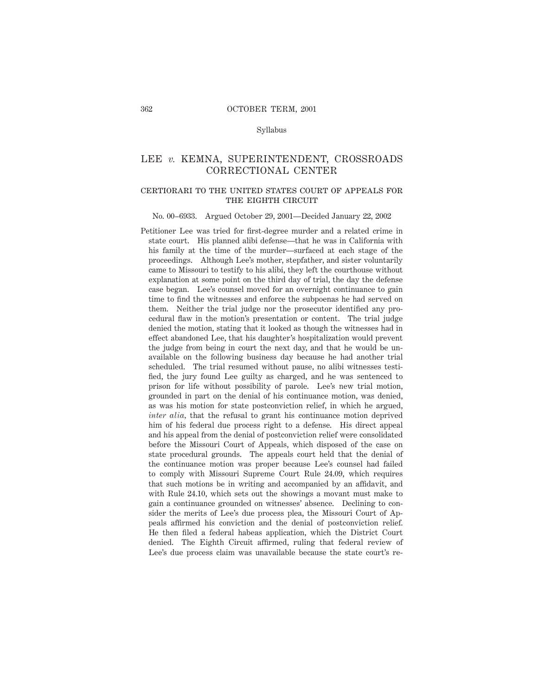### Syllabus

# LEE *v.* KEMNA, SUPERINTENDENT, CROSSROADS CORRECTIONAL CENTER

# certiorari to the united states court of appeals for THE EIGHTH CIRCUIT

#### No. 00–6933. Argued October 29, 2001—Decided January 22, 2002

Petitioner Lee was tried for first-degree murder and a related crime in state court. His planned alibi defense—that he was in California with his family at the time of the murder—surfaced at each stage of the proceedings. Although Lee's mother, stepfather, and sister voluntarily came to Missouri to testify to his alibi, they left the courthouse without explanation at some point on the third day of trial, the day the defense case began. Lee's counsel moved for an overnight continuance to gain time to find the witnesses and enforce the subpoenas he had served on them. Neither the trial judge nor the prosecutor identified any procedural flaw in the motion's presentation or content. The trial judge denied the motion, stating that it looked as though the witnesses had in effect abandoned Lee, that his daughter's hospitalization would prevent the judge from being in court the next day, and that he would be unavailable on the following business day because he had another trial scheduled. The trial resumed without pause, no alibi witnesses testified, the jury found Lee guilty as charged, and he was sentenced to prison for life without possibility of parole. Lee's new trial motion, grounded in part on the denial of his continuance motion, was denied, as was his motion for state postconviction relief, in which he argued, *inter alia,* that the refusal to grant his continuance motion deprived him of his federal due process right to a defense. His direct appeal and his appeal from the denial of postconviction relief were consolidated before the Missouri Court of Appeals, which disposed of the case on state procedural grounds. The appeals court held that the denial of the continuance motion was proper because Lee's counsel had failed to comply with Missouri Supreme Court Rule 24.09, which requires that such motions be in writing and accompanied by an affidavit, and with Rule 24.10, which sets out the showings a movant must make to gain a continuance grounded on witnesses' absence. Declining to consider the merits of Lee's due process plea, the Missouri Court of Appeals affirmed his conviction and the denial of postconviction relief. He then filed a federal habeas application, which the District Court denied. The Eighth Circuit affirmed, ruling that federal review of Lee's due process claim was unavailable because the state court's re-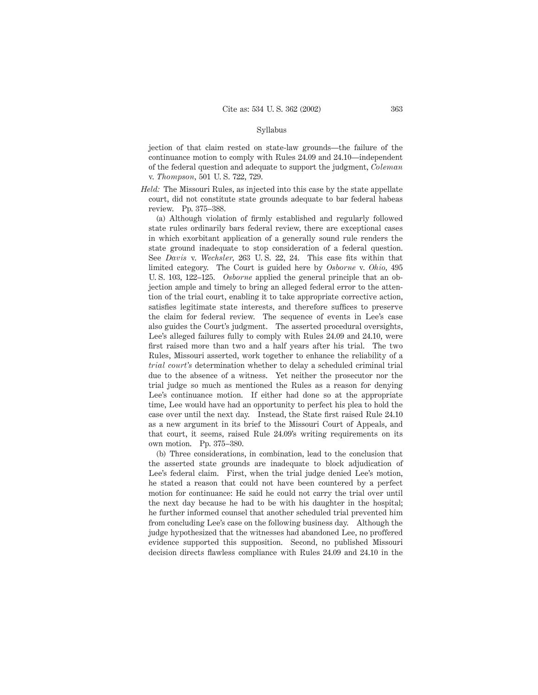### Syllabus

jection of that claim rested on state-law grounds—the failure of the continuance motion to comply with Rules 24.09 and 24.10—independent of the federal question and adequate to support the judgment, *Coleman* v. *Thompson,* 501 U. S. 722, 729.

*Held:* The Missouri Rules, as injected into this case by the state appellate court, did not constitute state grounds adequate to bar federal habeas review. Pp. 375–388.

(a) Although violation of firmly established and regularly followed state rules ordinarily bars federal review, there are exceptional cases in which exorbitant application of a generally sound rule renders the state ground inadequate to stop consideration of a federal question. See *Davis* v. *Wechsler,* 263 U. S. 22, 24. This case fits within that limited category. The Court is guided here by *Osborne* v. *Ohio,* 495 U. S. 103, 122–125. *Osborne* applied the general principle that an objection ample and timely to bring an alleged federal error to the attention of the trial court, enabling it to take appropriate corrective action, satisfies legitimate state interests, and therefore suffices to preserve the claim for federal review. The sequence of events in Lee's case also guides the Court's judgment. The asserted procedural oversights, Lee's alleged failures fully to comply with Rules 24.09 and 24.10, were first raised more than two and a half years after his trial. The two Rules, Missouri asserted, work together to enhance the reliability of a *trial court's* determination whether to delay a scheduled criminal trial due to the absence of a witness. Yet neither the prosecutor nor the trial judge so much as mentioned the Rules as a reason for denying Lee's continuance motion. If either had done so at the appropriate time, Lee would have had an opportunity to perfect his plea to hold the case over until the next day. Instead, the State first raised Rule 24.10 as a new argument in its brief to the Missouri Court of Appeals, and that court, it seems, raised Rule 24.09's writing requirements on its own motion. Pp. 375–380.

(b) Three considerations, in combination, lead to the conclusion that the asserted state grounds are inadequate to block adjudication of Lee's federal claim. First, when the trial judge denied Lee's motion, he stated a reason that could not have been countered by a perfect motion for continuance: He said he could not carry the trial over until the next day because he had to be with his daughter in the hospital; he further informed counsel that another scheduled trial prevented him from concluding Lee's case on the following business day. Although the judge hypothesized that the witnesses had abandoned Lee, no proffered evidence supported this supposition. Second, no published Missouri decision directs flawless compliance with Rules 24.09 and 24.10 in the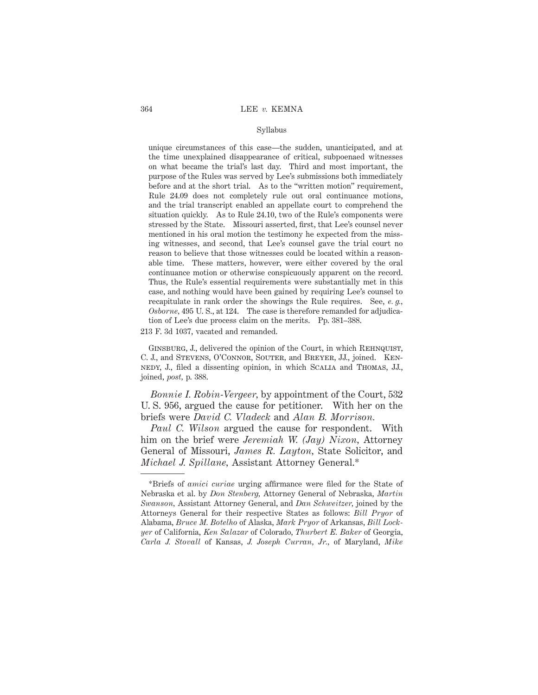### Syllabus

unique circumstances of this case—the sudden, unanticipated, and at the time unexplained disappearance of critical, subpoenaed witnesses on what became the trial's last day. Third and most important, the purpose of the Rules was served by Lee's submissions both immediately before and at the short trial. As to the "written motion" requirement, Rule 24.09 does not completely rule out oral continuance motions, and the trial transcript enabled an appellate court to comprehend the situation quickly. As to Rule 24.10, two of the Rule's components were stressed by the State. Missouri asserted, first, that Lee's counsel never mentioned in his oral motion the testimony he expected from the missing witnesses, and second, that Lee's counsel gave the trial court no reason to believe that those witnesses could be located within a reasonable time. These matters, however, were either covered by the oral continuance motion or otherwise conspicuously apparent on the record. Thus, the Rule's essential requirements were substantially met in this case, and nothing would have been gained by requiring Lee's counsel to recapitulate in rank order the showings the Rule requires. See, *e. g., Osborne,* 495 U. S., at 124. The case is therefore remanded for adjudication of Lee's due process claim on the merits. Pp. 381–388.

213 F. 3d 1037, vacated and remanded.

GINSBURG, J., delivered the opinion of the Court, in which REHNQUIST, C. J., and Stevens, O'Connor, Souter, and Breyer, JJ., joined. Kennedy, J., filed a dissenting opinion, in which Scalia and Thomas, JJ., joined, *post,* p. 388.

*Bonnie I. Robin-Vergeer,* by appointment of the Court, 532 U. S. 956, argued the cause for petitioner. With her on the briefs were *David C. Vladeck* and *Alan B. Morrison.*

*Paul C. Wilson* argued the cause for respondent. With him on the brief were *Jeremiah W. (Jay) Nixon,* Attorney General of Missouri, *James R. Layton,* State Solicitor, and *Michael J. Spillane,* Assistant Attorney General.\*

<sup>\*</sup>Briefs of *amici curiae* urging affirmance were filed for the State of Nebraska et al. by *Don Stenberg,* Attorney General of Nebraska, *Martin Swanson,* Assistant Attorney General, and *Dan Schweitzer,* joined by the Attorneys General for their respective States as follows: *Bill Pryor* of Alabama, *Bruce M. Botelho* of Alaska, *Mark Pryor* of Arkansas, *Bill Lockyer* of California, *Ken Salazar* of Colorado, *Thurbert E. Baker* of Georgia, *Carla J. Stovall* of Kansas, *J. Joseph Curran, Jr.,* of Maryland, *Mike*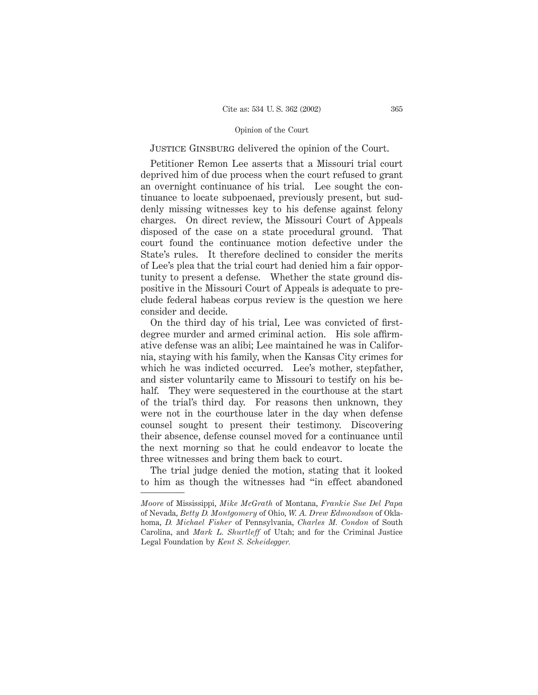# JUSTICE GINSBURG delivered the opinion of the Court.

Petitioner Remon Lee asserts that a Missouri trial court deprived him of due process when the court refused to grant an overnight continuance of his trial. Lee sought the continuance to locate subpoenaed, previously present, but suddenly missing witnesses key to his defense against felony charges. On direct review, the Missouri Court of Appeals disposed of the case on a state procedural ground. That court found the continuance motion defective under the State's rules. It therefore declined to consider the merits of Lee's plea that the trial court had denied him a fair opportunity to present a defense. Whether the state ground dispositive in the Missouri Court of Appeals is adequate to preclude federal habeas corpus review is the question we here consider and decide.

On the third day of his trial, Lee was convicted of firstdegree murder and armed criminal action. His sole affirmative defense was an alibi; Lee maintained he was in California, staying with his family, when the Kansas City crimes for which he was indicted occurred. Lee's mother, stepfather, and sister voluntarily came to Missouri to testify on his behalf. They were sequestered in the courthouse at the start of the trial's third day. For reasons then unknown, they were not in the courthouse later in the day when defense counsel sought to present their testimony. Discovering their absence, defense counsel moved for a continuance until the next morning so that he could endeavor to locate the three witnesses and bring them back to court.

The trial judge denied the motion, stating that it looked to him as though the witnesses had "in effect abandoned

*Moore* of Mississippi, *Mike McGrath* of Montana, *Frankie Sue Del Papa* of Nevada, *Betty D. Montgomery* of Ohio, *W. A. Drew Edmondson* of Oklahoma, *D. Michael Fisher* of Pennsylvania, *Charles M. Condon* of South Carolina, and *Mark L. Shurtleff* of Utah; and for the Criminal Justice Legal Foundation by *Kent S. Scheidegger.*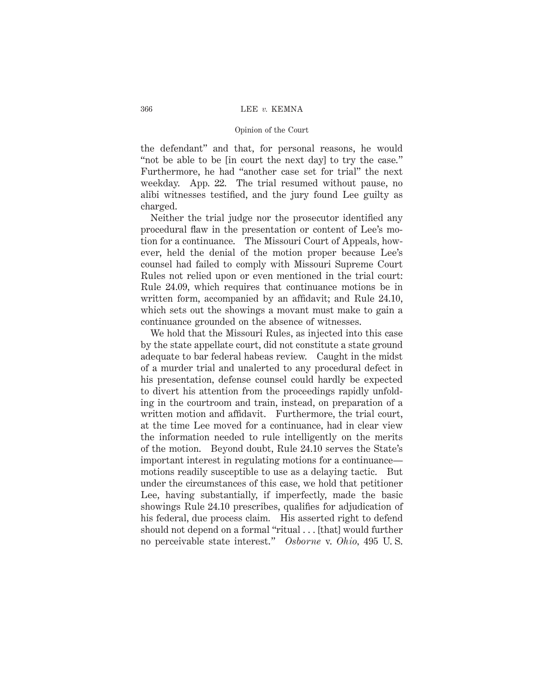the defendant" and that, for personal reasons, he would "not be able to be [in court the next day] to try the case." Furthermore, he had "another case set for trial" the next weekday. App. 22. The trial resumed without pause, no alibi witnesses testified, and the jury found Lee guilty as charged.

Neither the trial judge nor the prosecutor identified any procedural flaw in the presentation or content of Lee's motion for a continuance. The Missouri Court of Appeals, however, held the denial of the motion proper because Lee's counsel had failed to comply with Missouri Supreme Court Rules not relied upon or even mentioned in the trial court: Rule 24.09, which requires that continuance motions be in written form, accompanied by an affidavit; and Rule 24.10, which sets out the showings a movant must make to gain a continuance grounded on the absence of witnesses.

We hold that the Missouri Rules, as injected into this case by the state appellate court, did not constitute a state ground adequate to bar federal habeas review. Caught in the midst of a murder trial and unalerted to any procedural defect in his presentation, defense counsel could hardly be expected to divert his attention from the proceedings rapidly unfolding in the courtroom and train, instead, on preparation of a written motion and affidavit. Furthermore, the trial court, at the time Lee moved for a continuance, had in clear view the information needed to rule intelligently on the merits of the motion. Beyond doubt, Rule 24.10 serves the State's important interest in regulating motions for a continuance motions readily susceptible to use as a delaying tactic. But under the circumstances of this case, we hold that petitioner Lee, having substantially, if imperfectly, made the basic showings Rule 24.10 prescribes, qualifies for adjudication of his federal, due process claim. His asserted right to defend should not depend on a formal "ritual... [that] would further no perceivable state interest." *Osborne* v. *Ohio,* 495 U. S.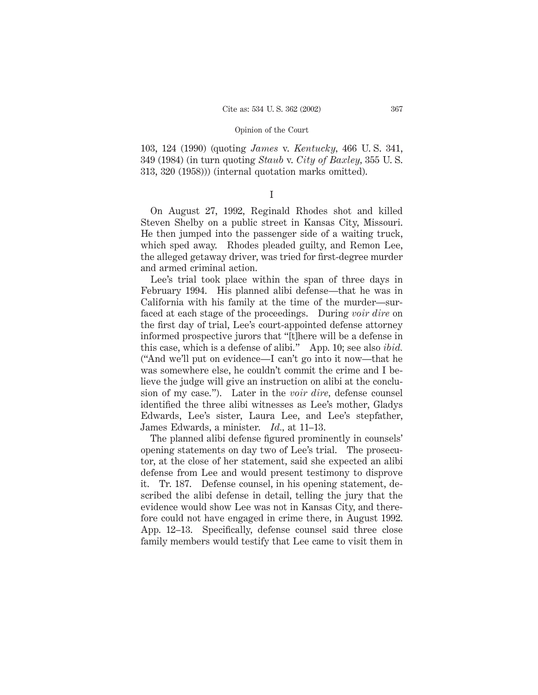103, 124 (1990) (quoting *James* v. *Kentucky,* 466 U. S. 341, 349 (1984) (in turn quoting *Staub* v. *City of Baxley,* 355 U. S. 313, 320 (1958))) (internal quotation marks omitted).

On August 27, 1992, Reginald Rhodes shot and killed Steven Shelby on a public street in Kansas City, Missouri. He then jumped into the passenger side of a waiting truck, which sped away. Rhodes pleaded guilty, and Remon Lee, the alleged getaway driver, was tried for first-degree murder and armed criminal action.

Lee's trial took place within the span of three days in February 1994. His planned alibi defense—that he was in California with his family at the time of the murder—surfaced at each stage of the proceedings. During *voir dire* on the first day of trial, Lee's court-appointed defense attorney informed prospective jurors that "[t]here will be a defense in this case, which is a defense of alibi." App. 10; see also *ibid.* ("And we'll put on evidence—I can't go into it now—that he was somewhere else, he couldn't commit the crime and I believe the judge will give an instruction on alibi at the conclusion of my case."). Later in the *voir dire,* defense counsel identified the three alibi witnesses as Lee's mother, Gladys Edwards, Lee's sister, Laura Lee, and Lee's stepfather, James Edwards, a minister. *Id.,* at 11–13.

The planned alibi defense figured prominently in counsels' opening statements on day two of Lee's trial. The prosecutor, at the close of her statement, said she expected an alibi defense from Lee and would present testimony to disprove it. Tr. 187. Defense counsel, in his opening statement, described the alibi defense in detail, telling the jury that the evidence would show Lee was not in Kansas City, and therefore could not have engaged in crime there, in August 1992. App. 12–13. Specifically, defense counsel said three close family members would testify that Lee came to visit them in

I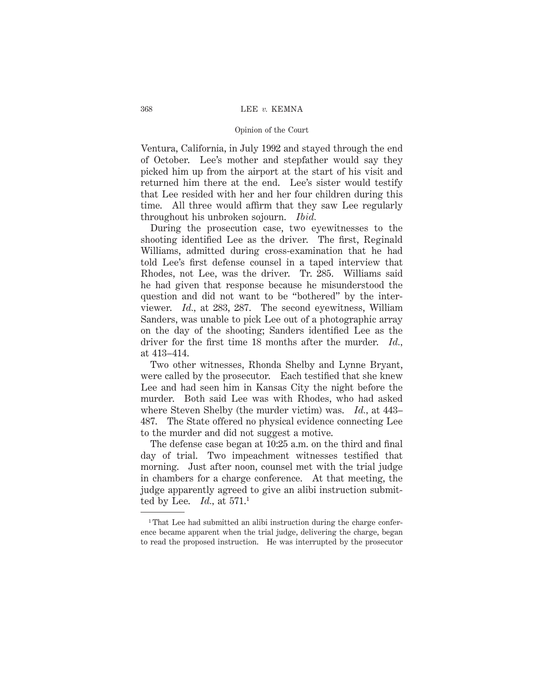Ventura, California, in July 1992 and stayed through the end of October. Lee's mother and stepfather would say they picked him up from the airport at the start of his visit and returned him there at the end. Lee's sister would testify that Lee resided with her and her four children during this time. All three would affirm that they saw Lee regularly throughout his unbroken sojourn. *Ibid.*

During the prosecution case, two eyewitnesses to the shooting identified Lee as the driver. The first, Reginald Williams, admitted during cross-examination that he had told Lee's first defense counsel in a taped interview that Rhodes, not Lee, was the driver. Tr. 285. Williams said he had given that response because he misunderstood the question and did not want to be "bothered" by the interviewer. *Id.,* at 283, 287. The second eyewitness, William Sanders, was unable to pick Lee out of a photographic array on the day of the shooting; Sanders identified Lee as the driver for the first time 18 months after the murder. *Id.,* at 413–414.

Two other witnesses, Rhonda Shelby and Lynne Bryant, were called by the prosecutor. Each testified that she knew Lee and had seen him in Kansas City the night before the murder. Both said Lee was with Rhodes, who had asked where Steven Shelby (the murder victim) was. *Id.,* at 443– 487. The State offered no physical evidence connecting Lee to the murder and did not suggest a motive.

The defense case began at 10:25 a.m. on the third and final day of trial. Two impeachment witnesses testified that morning. Just after noon, counsel met with the trial judge in chambers for a charge conference. At that meeting, the judge apparently agreed to give an alibi instruction submitted by Lee. *Id.,* at 571.1

<sup>&</sup>lt;sup>1</sup>That Lee had submitted an alibi instruction during the charge conference became apparent when the trial judge, delivering the charge, began to read the proposed instruction. He was interrupted by the prosecutor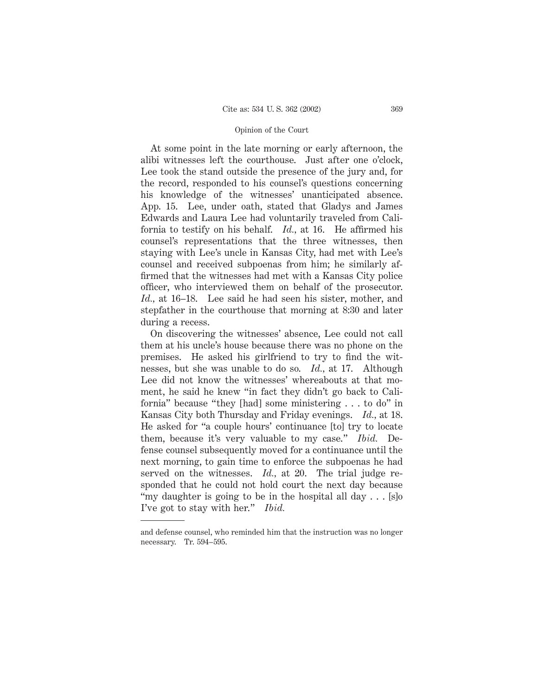At some point in the late morning or early afternoon, the alibi witnesses left the courthouse. Just after one o'clock, Lee took the stand outside the presence of the jury and, for the record, responded to his counsel's questions concerning his knowledge of the witnesses' unanticipated absence. App. 15. Lee, under oath, stated that Gladys and James Edwards and Laura Lee had voluntarily traveled from California to testify on his behalf. *Id.,* at 16. He affirmed his counsel's representations that the three witnesses, then staying with Lee's uncle in Kansas City, had met with Lee's counsel and received subpoenas from him; he similarly affirmed that the witnesses had met with a Kansas City police officer, who interviewed them on behalf of the prosecutor. *Id.,* at 16–18. Lee said he had seen his sister, mother, and stepfather in the courthouse that morning at 8:30 and later during a recess.

On discovering the witnesses' absence, Lee could not call them at his uncle's house because there was no phone on the premises. He asked his girlfriend to try to find the witnesses, but she was unable to do so. *Id.,* at 17. Although Lee did not know the witnesses' whereabouts at that moment, he said he knew "in fact they didn't go back to California" because "they [had] some ministering . . . to do" in Kansas City both Thursday and Friday evenings. *Id.,* at 18. He asked for "a couple hours' continuance [to] try to locate them, because it's very valuable to my case." *Ibid.* Defense counsel subsequently moved for a continuance until the next morning, to gain time to enforce the subpoenas he had served on the witnesses. *Id.,* at 20. The trial judge responded that he could not hold court the next day because "my daughter is going to be in the hospital all day . . . [s]o I've got to stay with her." *Ibid.*

and defense counsel, who reminded him that the instruction was no longer necessary. Tr. 594–595.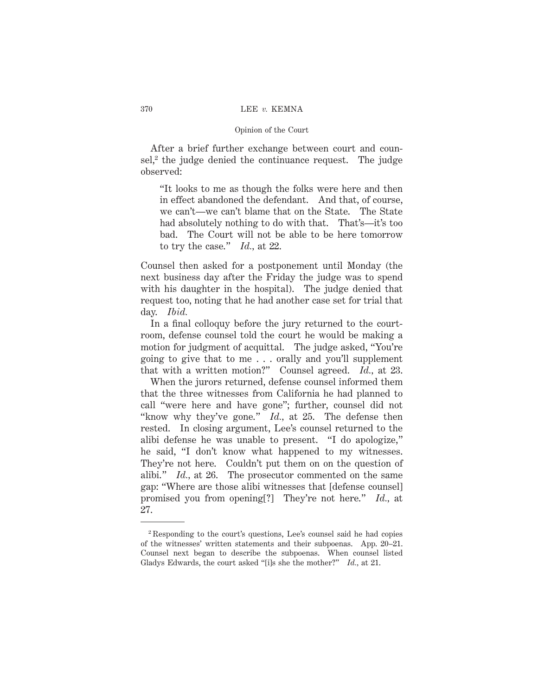After a brief further exchange between court and counsel, $2$  the judge denied the continuance request. The judge observed:

"It looks to me as though the folks were here and then in effect abandoned the defendant. And that, of course, we can't—we can't blame that on the State. The State had absolutely nothing to do with that. That's—it's too bad. The Court will not be able to be here tomorrow to try the case." *Id.,* at 22.

Counsel then asked for a postponement until Monday (the next business day after the Friday the judge was to spend with his daughter in the hospital). The judge denied that request too, noting that he had another case set for trial that day. *Ibid.*

In a final colloquy before the jury returned to the courtroom, defense counsel told the court he would be making a motion for judgment of acquittal. The judge asked, "You're going to give that to me . . . orally and you'll supplement that with a written motion?" Counsel agreed. *Id.,* at 23.

When the jurors returned, defense counsel informed them that the three witnesses from California he had planned to call "were here and have gone"; further, counsel did not "know why they've gone." *Id.,* at 25. The defense then rested. In closing argument, Lee's counsel returned to the alibi defense he was unable to present. "I do apologize," he said, "I don't know what happened to my witnesses. They're not here. Couldn't put them on on the question of alibi." *Id.,* at 26. The prosecutor commented on the same gap: "Where are those alibi witnesses that [defense counsel] promised you from opening[?] They're not here." *Id.,* at 27.

<sup>2</sup> Responding to the court's questions, Lee's counsel said he had copies of the witnesses' written statements and their subpoenas. App. 20–21. Counsel next began to describe the subpoenas. When counsel listed Gladys Edwards, the court asked "[i]s she the mother?" *Id.,* at 21.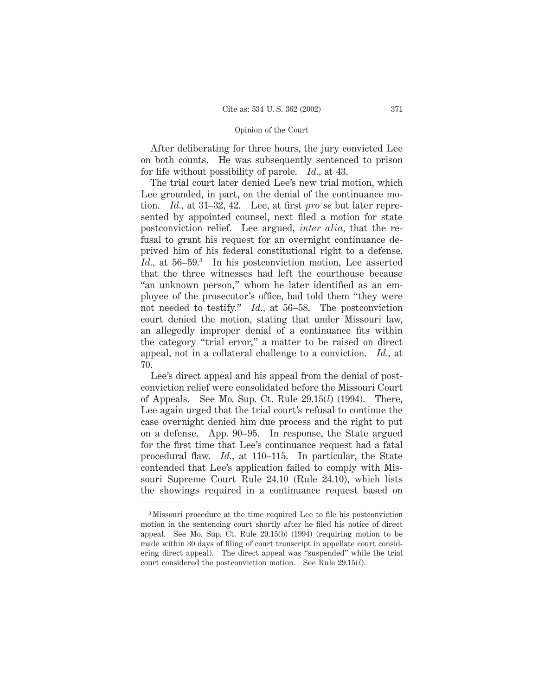After deliberating for three hours, the jury convicted Lee on both counts. He was subsequently sentenced to prison for life without possibility of parole. *Id.,* at 43.

The trial court later denied Lee's new trial motion, which Lee grounded, in part, on the denial of the continuance motion. *Id.,* at 31–32, 42. Lee, at first *pro se* but later represented by appointed counsel, next filed a motion for state postconviction relief. Lee argued, *inter alia,* that the refusal to grant his request for an overnight continuance deprived him of his federal constitutional right to a defense. Id., at 56–59.<sup>3</sup> In his postconviction motion, Lee asserted that the three witnesses had left the courthouse because "an unknown person," whom he later identified as an employee of the prosecutor's office, had told them "they were not needed to testify." *Id.,* at 56–58. The postconviction court denied the motion, stating that under Missouri law, an allegedly improper denial of a continuance fits within the category "trial error," a matter to be raised on direct appeal, not in a collateral challenge to a conviction. *Id.,* at 70.

Lee's direct appeal and his appeal from the denial of postconviction relief were consolidated before the Missouri Court of Appeals. See Mo. Sup. Ct. Rule 29.15(*l*) (1994). There, Lee again urged that the trial court's refusal to continue the case overnight denied him due process and the right to put on a defense. App. 90–95. In response, the State argued for the first time that Lee's continuance request had a fatal procedural flaw. *Id.,* at 110–115. In particular, the State contended that Lee's application failed to comply with Missouri Supreme Court Rule 24.10 (Rule 24.10), which lists the showings required in a continuance request based on

<sup>3</sup> Missouri procedure at the time required Lee to file his postconviction motion in the sentencing court shortly after he filed his notice of direct appeal. See Mo. Sup. Ct. Rule 29.15(b) (1994) (requiring motion to be made within 30 days of filing of court transcript in appellate court considering direct appeal). The direct appeal was "suspended" while the trial court considered the postconviction motion. See Rule 29.15(*l*).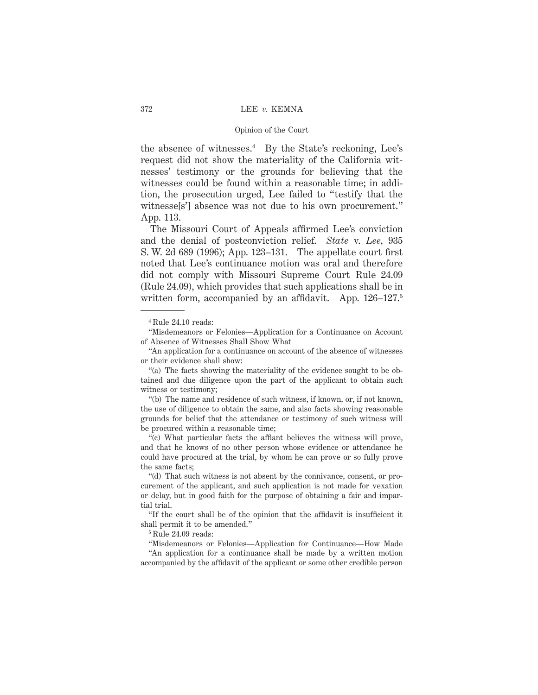the absence of witnesses. $4$  By the State's reckoning, Lee's request did not show the materiality of the California witnesses' testimony or the grounds for believing that the witnesses could be found within a reasonable time; in addition, the prosecution urged, Lee failed to "testify that the witnesse[s'] absence was not due to his own procurement." App. 113.

The Missouri Court of Appeals affirmed Lee's conviction and the denial of postconviction relief. *State* v. *Lee,* 935 S. W. 2d 689 (1996); App. 123–131. The appellate court first noted that Lee's continuance motion was oral and therefore did not comply with Missouri Supreme Court Rule 24.09 (Rule 24.09), which provides that such applications shall be in written form, accompanied by an affidavit. App. 126–127.<sup>5</sup>

<sup>4</sup> Rule 24.10 reads:

<sup>&</sup>quot;Misdemeanors or Felonies—Application for a Continuance on Account of Absence of Witnesses Shall Show What

<sup>&</sup>quot;An application for a continuance on account of the absence of witnesses or their evidence shall show:

<sup>&</sup>quot;(a) The facts showing the materiality of the evidence sought to be obtained and due diligence upon the part of the applicant to obtain such witness or testimony;

<sup>&</sup>quot;(b) The name and residence of such witness, if known, or, if not known, the use of diligence to obtain the same, and also facts showing reasonable grounds for belief that the attendance or testimony of such witness will be procured within a reasonable time;

<sup>&</sup>quot;(c) What particular facts the affiant believes the witness will prove, and that he knows of no other person whose evidence or attendance he could have procured at the trial, by whom he can prove or so fully prove the same facts;

<sup>&</sup>quot;(d) That such witness is not absent by the connivance, consent, or procurement of the applicant, and such application is not made for vexation or delay, but in good faith for the purpose of obtaining a fair and impartial trial.

<sup>&</sup>quot;If the court shall be of the opinion that the affidavit is insufficient it shall permit it to be amended."

 $^5\rm$  Rule 24.09 reads:

<sup>&</sup>quot;Misdemeanors or Felonies—Application for Continuance—How Made "An application for a continuance shall be made by a written motion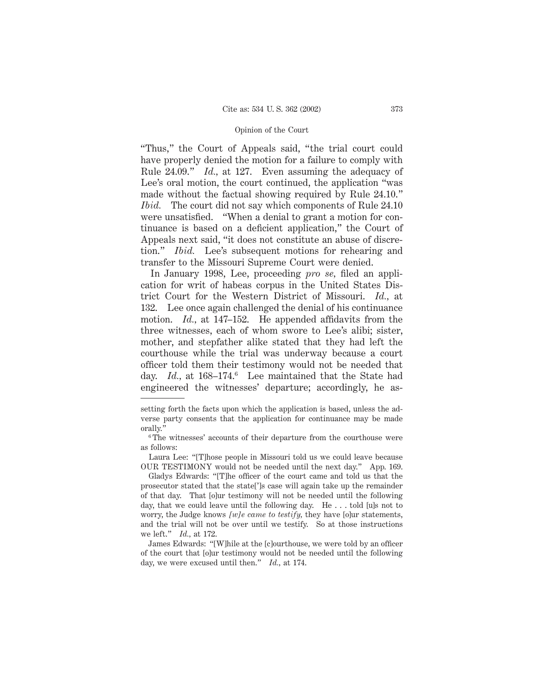"Thus," the Court of Appeals said, "the trial court could have properly denied the motion for a failure to comply with Rule 24.09." *Id.,* at 127. Even assuming the adequacy of Lee's oral motion, the court continued, the application "was made without the factual showing required by Rule 24.10." *Ibid.* The court did not say which components of Rule 24.10 were unsatisfied. "When a denial to grant a motion for continuance is based on a deficient application," the Court of Appeals next said, "it does not constitute an abuse of discretion." *Ibid.* Lee's subsequent motions for rehearing and transfer to the Missouri Supreme Court were denied.

In January 1998, Lee, proceeding *pro se,* filed an application for writ of habeas corpus in the United States District Court for the Western District of Missouri. *Id.,* at 132. Lee once again challenged the denial of his continuance motion. *Id.,* at 147–152. He appended affidavits from the three witnesses, each of whom swore to Lee's alibi; sister, mother, and stepfather alike stated that they had left the courthouse while the trial was underway because a court officer told them their testimony would not be needed that day. *Id.*, at 168–174.<sup>6</sup> Lee maintained that the State had engineered the witnesses' departure; accordingly, he as-

Laura Lee: "[T]hose people in Missouri told us we could leave because OUR TESTIMONY would not be needed until the next day." App. 169.

Gladys Edwards: "[T]he officer of the court came and told us that the prosecutor stated that the state[']s case will again take up the remainder of that day. That [o]ur testimony will not be needed until the following day, that we could leave until the following day. He . . . told [u]s not to worry, the Judge knows *[w]e came to testify,* they have [o]ur statements, and the trial will not be over until we testify. So at those instructions we left." *Id.,* at 172.

James Edwards: "[W]hile at the [c]ourthouse, we were told by an officer of the court that [o]ur testimony would not be needed until the following day, we were excused until then." *Id.,* at 174.

setting forth the facts upon which the application is based, unless the adverse party consents that the application for continuance may be made orally."

<sup>&</sup>lt;sup>6</sup>The witnesses' accounts of their departure from the courthouse were as follows: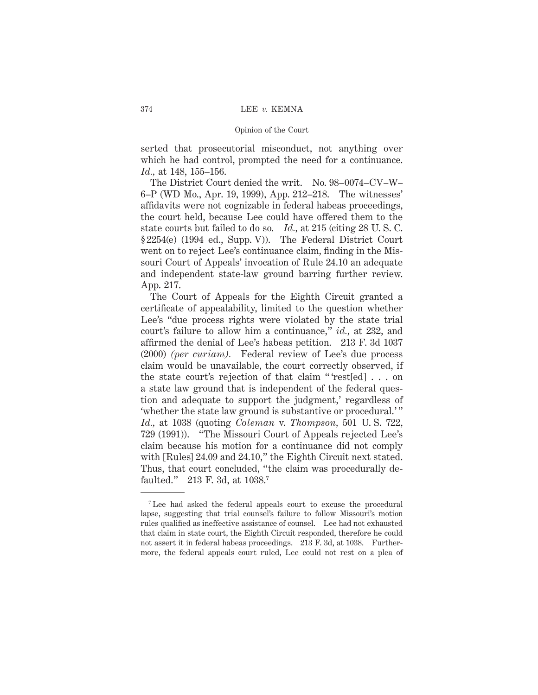serted that prosecutorial misconduct, not anything over which he had control, prompted the need for a continuance. *Id.,* at 148, 155–156.

The District Court denied the writ. No. 98–0074–CV–W– 6–P (WD Mo., Apr. 19, 1999), App. 212–218. The witnesses' affidavits were not cognizable in federal habeas proceedings, the court held, because Lee could have offered them to the state courts but failed to do so. *Id.,* at 215 (citing 28 U. S. C. § 2254(e) (1994 ed., Supp. V)). The Federal District Court went on to reject Lee's continuance claim, finding in the Missouri Court of Appeals' invocation of Rule 24.10 an adequate and independent state-law ground barring further review. App. 217.

The Court of Appeals for the Eighth Circuit granted a certificate of appealability, limited to the question whether Lee's "due process rights were violated by the state trial court's failure to allow him a continuance," *id.,* at 232, and affirmed the denial of Lee's habeas petition. 213 F. 3d 1037 (2000) *(per curiam).* Federal review of Lee's due process claim would be unavailable, the court correctly observed, if the state court's rejection of that claim " 'rest[ed] . . . on a state law ground that is independent of the federal question and adequate to support the judgment,' regardless of 'whether the state law ground is substantive or procedural.' " *Id.,* at 1038 (quoting *Coleman* v. *Thompson,* 501 U. S. 722, 729 (1991)). "The Missouri Court of Appeals rejected Lee's claim because his motion for a continuance did not comply with [Rules] 24.09 and 24.10," the Eighth Circuit next stated. Thus, that court concluded, "the claim was procedurally defaulted." 213 F. 3d, at 1038.7

<sup>7</sup> Lee had asked the federal appeals court to excuse the procedural lapse, suggesting that trial counsel's failure to follow Missouri's motion rules qualified as ineffective assistance of counsel. Lee had not exhausted that claim in state court, the Eighth Circuit responded, therefore he could not assert it in federal habeas proceedings. 213 F. 3d, at 1038. Furthermore, the federal appeals court ruled, Lee could not rest on a plea of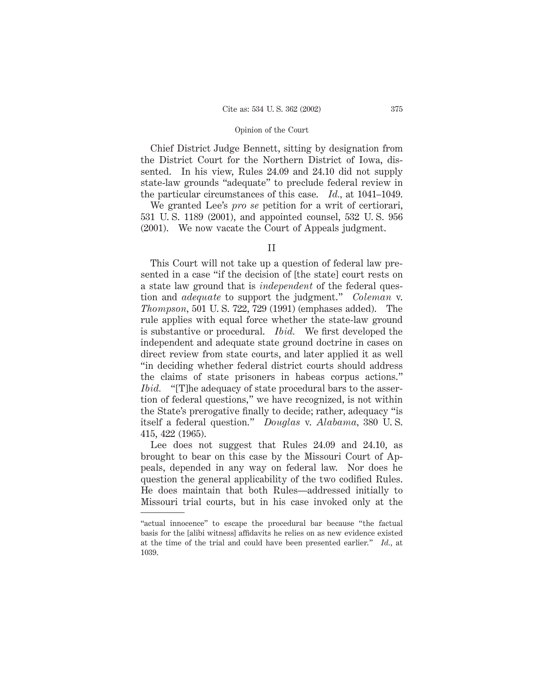Chief District Judge Bennett, sitting by designation from the District Court for the Northern District of Iowa, dissented. In his view, Rules 24.09 and 24.10 did not supply state-law grounds "adequate" to preclude federal review in the particular circumstances of this case. *Id.,* at 1041–1049.

We granted Lee's *pro se* petition for a writ of certiorari, 531 U. S. 1189 (2001), and appointed counsel, 532 U. S. 956 (2001). We now vacate the Court of Appeals judgment.

This Court will not take up a question of federal law presented in a case "if the decision of [the state] court rests on a state law ground that is *independent* of the federal question and *adequate* to support the judgment." *Coleman* v. *Thompson,* 501 U. S. 722, 729 (1991) (emphases added). The rule applies with equal force whether the state-law ground is substantive or procedural. *Ibid.* We first developed the independent and adequate state ground doctrine in cases on direct review from state courts, and later applied it as well "in deciding whether federal district courts should address the claims of state prisoners in habeas corpus actions." *Ibid.* "[T]he adequacy of state procedural bars to the assertion of federal questions," we have recognized, is not within the State's prerogative finally to decide; rather, adequacy "is itself a federal question." *Douglas* v. *Alabama,* 380 U. S. 415, 422 (1965).

Lee does not suggest that Rules 24.09 and 24.10, as brought to bear on this case by the Missouri Court of Appeals, depended in any way on federal law. Nor does he question the general applicability of the two codified Rules. He does maintain that both Rules—addressed initially to Missouri trial courts, but in his case invoked only at the

II

<sup>&</sup>quot;actual innocence" to escape the procedural bar because "the factual basis for the [alibi witness] affidavits he relies on as new evidence existed at the time of the trial and could have been presented earlier." *Id.,* at 1039.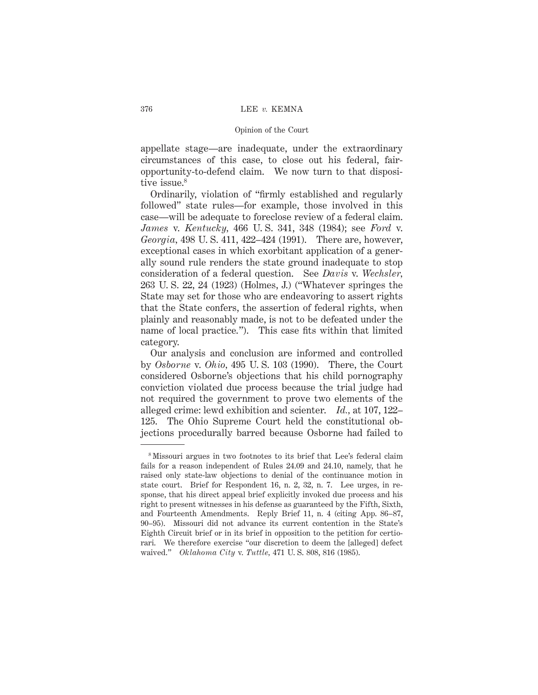appellate stage—are inadequate, under the extraordinary circumstances of this case, to close out his federal, fairopportunity-to-defend claim. We now turn to that dispositive issue.<sup>8</sup>

Ordinarily, violation of "firmly established and regularly followed" state rules—for example, those involved in this case—will be adequate to foreclose review of a federal claim. *James* v. *Kentucky,* 466 U. S. 341, 348 (1984); see *Ford* v. *Georgia,* 498 U. S. 411, 422–424 (1991). There are, however, exceptional cases in which exorbitant application of a generally sound rule renders the state ground inadequate to stop consideration of a federal question. See *Davis* v. *Wechsler,* 263 U. S. 22, 24 (1923) (Holmes, J.) ("Whatever springes the State may set for those who are endeavoring to assert rights that the State confers, the assertion of federal rights, when plainly and reasonably made, is not to be defeated under the name of local practice."). This case fits within that limited category.

Our analysis and conclusion are informed and controlled by *Osborne* v. *Ohio,* 495 U. S. 103 (1990). There, the Court considered Osborne's objections that his child pornography conviction violated due process because the trial judge had not required the government to prove two elements of the alleged crime: lewd exhibition and scienter. *Id.,* at 107, 122– 125. The Ohio Supreme Court held the constitutional objections procedurally barred because Osborne had failed to

<sup>8</sup> Missouri argues in two footnotes to its brief that Lee's federal claim fails for a reason independent of Rules 24.09 and 24.10, namely, that he raised only state-law objections to denial of the continuance motion in state court. Brief for Respondent 16, n. 2, 32, n. 7. Lee urges, in response, that his direct appeal brief explicitly invoked due process and his right to present witnesses in his defense as guaranteed by the Fifth, Sixth, and Fourteenth Amendments. Reply Brief 11, n. 4 (citing App. 86–87, 90–95). Missouri did not advance its current contention in the State's Eighth Circuit brief or in its brief in opposition to the petition for certiorari. We therefore exercise "our discretion to deem the [alleged] defect waived." *Oklahoma City* v. *Tuttle,* 471 U. S. 808, 816 (1985).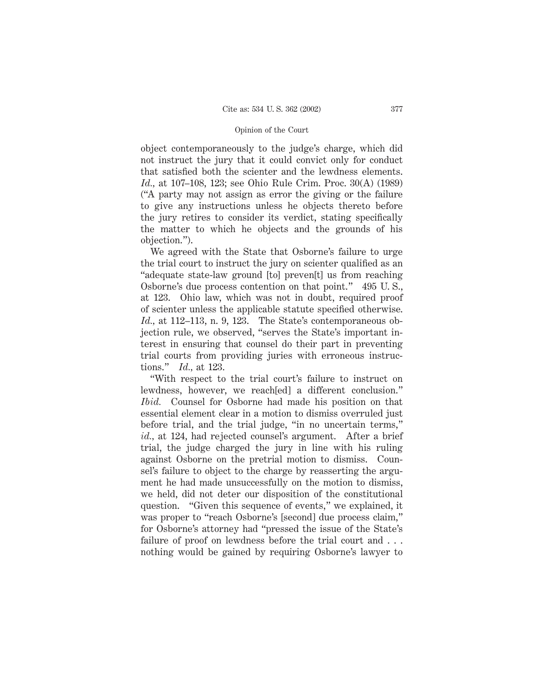object contemporaneously to the judge's charge, which did not instruct the jury that it could convict only for conduct that satisfied both the scienter and the lewdness elements. *Id.,* at 107–108, 123; see Ohio Rule Crim. Proc. 30(A) (1989) ("A party may not assign as error the giving or the failure to give any instructions unless he objects thereto before the jury retires to consider its verdict, stating specifically the matter to which he objects and the grounds of his objection.").

We agreed with the State that Osborne's failure to urge the trial court to instruct the jury on scienter qualified as an "adequate state-law ground [to] preven[t] us from reaching Osborne's due process contention on that point." 495 U. S., at 123. Ohio law, which was not in doubt, required proof of scienter unless the applicable statute specified otherwise. *Id.,* at 112–113, n. 9, 123. The State's contemporaneous objection rule, we observed, "serves the State's important interest in ensuring that counsel do their part in preventing trial courts from providing juries with erroneous instructions." *Id.,* at 123.

"With respect to the trial court's failure to instruct on lewdness, however, we reach[ed] a different conclusion." *Ibid.* Counsel for Osborne had made his position on that essential element clear in a motion to dismiss overruled just before trial, and the trial judge, "in no uncertain terms," *id.,* at 124, had rejected counsel's argument. After a brief trial, the judge charged the jury in line with his ruling against Osborne on the pretrial motion to dismiss. Counsel's failure to object to the charge by reasserting the argument he had made unsuccessfully on the motion to dismiss, we held, did not deter our disposition of the constitutional question. "Given this sequence of events," we explained, it was proper to "reach Osborne's [second] due process claim," for Osborne's attorney had "pressed the issue of the State's failure of proof on lewdness before the trial court and . . . nothing would be gained by requiring Osborne's lawyer to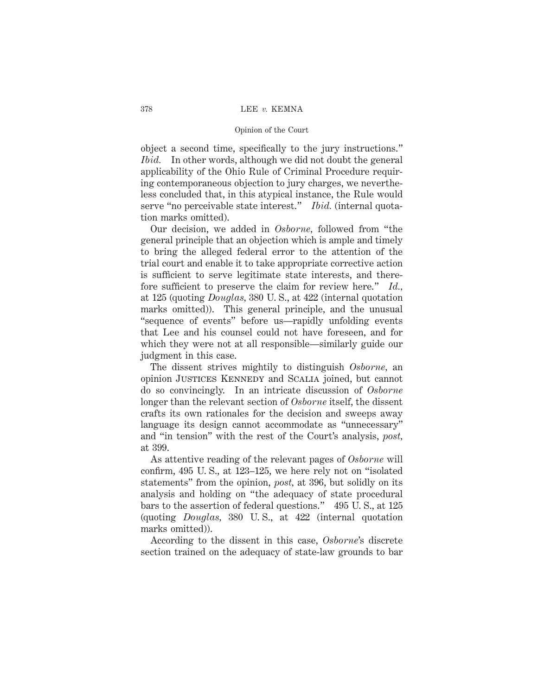### 378 LEE *v.* KEMNA

### Opinion of the Court

object a second time, specifically to the jury instructions." *Ibid.* In other words, although we did not doubt the general applicability of the Ohio Rule of Criminal Procedure requiring contemporaneous objection to jury charges, we nevertheless concluded that, in this atypical instance, the Rule would serve "no perceivable state interest." *Ibid.* (internal quotation marks omitted).

Our decision, we added in *Osborne,* followed from "the general principle that an objection which is ample and timely to bring the alleged federal error to the attention of the trial court and enable it to take appropriate corrective action is sufficient to serve legitimate state interests, and therefore sufficient to preserve the claim for review here." *Id.,* at 125 (quoting *Douglas,* 380 U. S., at 422 (internal quotation marks omitted)). This general principle, and the unusual "sequence of events" before us—rapidly unfolding events that Lee and his counsel could not have foreseen, and for which they were not at all responsible—similarly guide our judgment in this case.

The dissent strives mightily to distinguish *Osborne,* an opinion Justices Kennedy and Scalia joined, but cannot do so convincingly. In an intricate discussion of *Osborne* longer than the relevant section of *Osborne* itself, the dissent crafts its own rationales for the decision and sweeps away language its design cannot accommodate as "unnecessary" and "in tension" with the rest of the Court's analysis, *post,* at 399.

As attentive reading of the relevant pages of *Osborne* will confirm, 495 U. S., at 123–125, we here rely not on "isolated statements" from the opinion, *post,* at 396, but solidly on its analysis and holding on "the adequacy of state procedural bars to the assertion of federal questions." 495 U. S., at 125 (quoting *Douglas,* 380 U. S., at 422 (internal quotation marks omitted)).

According to the dissent in this case, *Osborne*'s discrete section trained on the adequacy of state-law grounds to bar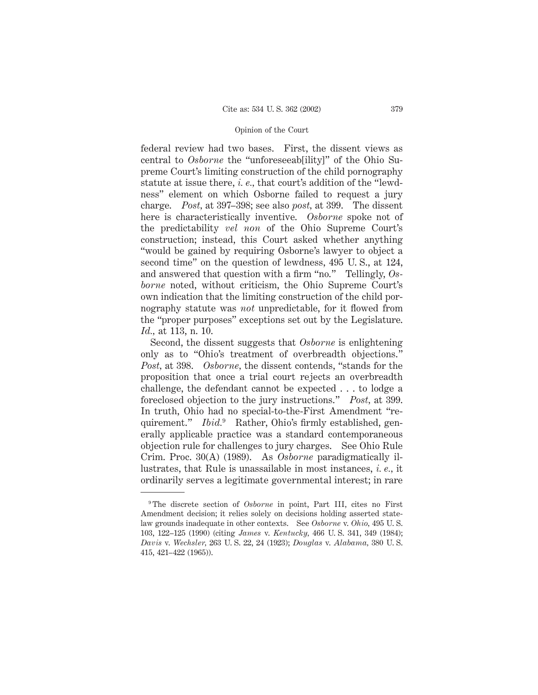federal review had two bases. First, the dissent views as central to *Osborne* the "unforeseeab[ility]" of the Ohio Supreme Court's limiting construction of the child pornography statute at issue there, *i. e.,* that court's addition of the "lewdness" element on which Osborne failed to request a jury charge. *Post,* at 397–398; see also *post,* at 399. The dissent here is characteristically inventive. *Osborne* spoke not of the predictability *vel non* of the Ohio Supreme Court's construction; instead, this Court asked whether anything "would be gained by requiring Osborne's lawyer to object a second time" on the question of lewdness, 495 U. S., at 124, and answered that question with a firm "no." Tellingly, *Osborne* noted, without criticism, the Ohio Supreme Court's own indication that the limiting construction of the child pornography statute was *not* unpredictable, for it flowed from the "proper purposes" exceptions set out by the Legislature. *Id.,* at 113, n. 10.

Second, the dissent suggests that *Osborne* is enlightening only as to "Ohio's treatment of overbreadth objections." *Post,* at 398. *Osborne,* the dissent contends, "stands for the proposition that once a trial court rejects an overbreadth challenge, the defendant cannot be expected . . . to lodge a foreclosed objection to the jury instructions." *Post,* at 399. In truth, Ohio had no special-to-the-First Amendment "requirement." *Ibid.*<sup>9</sup> Rather, Ohio's firmly established, generally applicable practice was a standard contemporaneous objection rule for challenges to jury charges. See Ohio Rule Crim. Proc. 30(A) (1989). As *Osborne* paradigmatically illustrates, that Rule is unassailable in most instances, *i. e.,* it ordinarily serves a legitimate governmental interest; in rare

<sup>&</sup>lt;sup>9</sup> The discrete section of *Osborne* in point, Part III, cites no First Amendment decision; it relies solely on decisions holding asserted statelaw grounds inadequate in other contexts. See *Osborne* v. *Ohio,* 495 U. S. 103, 122–125 (1990) (citing *James* v. *Kentucky,* 466 U. S. 341, 349 (1984); *Davis* v. *Wechsler,* 263 U. S. 22, 24 (1923); *Douglas* v. *Alabama,* 380 U. S. 415, 421–422 (1965)).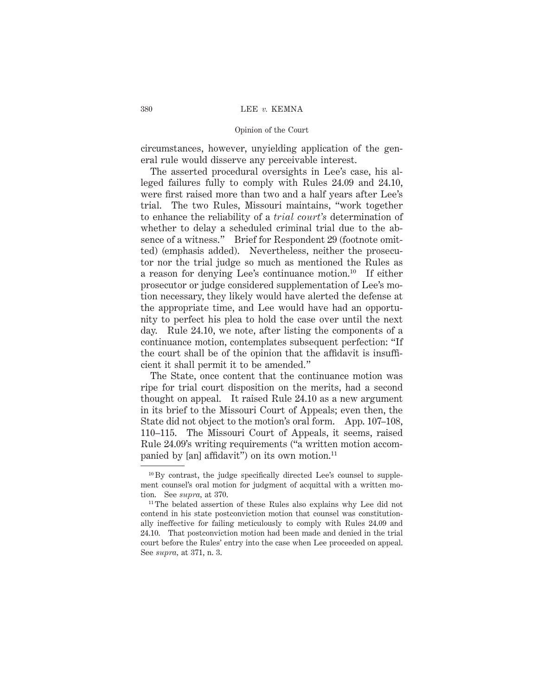### 380 LEE *v.* KEMNA

### Opinion of the Court

circumstances, however, unyielding application of the general rule would disserve any perceivable interest.

The asserted procedural oversights in Lee's case, his alleged failures fully to comply with Rules 24.09 and 24.10, were first raised more than two and a half years after Lee's trial. The two Rules, Missouri maintains, "work together to enhance the reliability of a *trial court's* determination of whether to delay a scheduled criminal trial due to the absence of a witness." Brief for Respondent 29 (footnote omitted) (emphasis added). Nevertheless, neither the prosecutor nor the trial judge so much as mentioned the Rules as a reason for denying Lee's continuance motion.10 If either prosecutor or judge considered supplementation of Lee's motion necessary, they likely would have alerted the defense at the appropriate time, and Lee would have had an opportunity to perfect his plea to hold the case over until the next day. Rule 24.10, we note, after listing the components of a continuance motion, contemplates subsequent perfection: "If the court shall be of the opinion that the affidavit is insufficient it shall permit it to be amended."

The State, once content that the continuance motion was ripe for trial court disposition on the merits, had a second thought on appeal. It raised Rule 24.10 as a new argument in its brief to the Missouri Court of Appeals; even then, the State did not object to the motion's oral form. App. 107–108, 110–115. The Missouri Court of Appeals, it seems, raised Rule 24.09's writing requirements ("a written motion accompanied by [an] affidavit") on its own motion. $^{11}$ 

 $10 By$  contrast, the judge specifically directed Lee's counsel to supplement counsel's oral motion for judgment of acquittal with a written motion. See *supra,* at 370.

<sup>&</sup>lt;sup>11</sup> The belated assertion of these Rules also explains why Lee did not contend in his state postconviction motion that counsel was constitutionally ineffective for failing meticulously to comply with Rules 24.09 and 24.10. That postconviction motion had been made and denied in the trial court before the Rules' entry into the case when Lee proceeded on appeal. See *supra,* at 371, n. 3.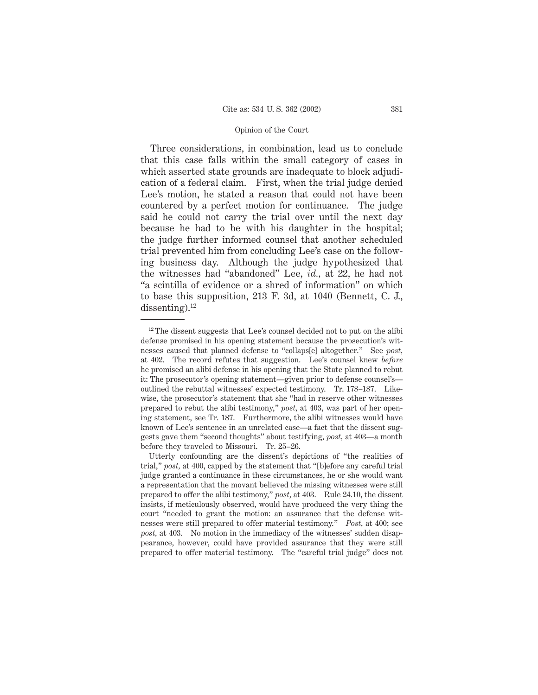Three considerations, in combination, lead us to conclude that this case falls within the small category of cases in which asserted state grounds are inadequate to block adjudication of a federal claim. First, when the trial judge denied Lee's motion, he stated a reason that could not have been countered by a perfect motion for continuance. The judge said he could not carry the trial over until the next day because he had to be with his daughter in the hospital; the judge further informed counsel that another scheduled trial prevented him from concluding Lee's case on the following business day. Although the judge hypothesized that the witnesses had "abandoned" Lee, *id.,* at 22, he had not "a scintilla of evidence or a shred of information" on which to base this supposition, 213 F. 3d, at 1040 (Bennett, C. J., dissenting).<sup>12</sup>

 $12$  The dissent suggests that Lee's counsel decided not to put on the alibidefense promised in his opening statement because the prosecution's witnesses caused that planned defense to "collaps[e] altogether." See *post,* at 402. The record refutes that suggestion. Lee's counsel knew *before* he promised an alibi defense in his opening that the State planned to rebut it: The prosecutor's opening statement—given prior to defense counsel's outlined the rebuttal witnesses' expected testimony. Tr. 178–187. Likewise, the prosecutor's statement that she "had in reserve other witnesses prepared to rebut the alibi testimony," *post,* at 403, was part of her opening statement, see Tr. 187. Furthermore, the alibi witnesses would have known of Lee's sentence in an unrelated case—a fact that the dissent suggests gave them "second thoughts" about testifying, *post,* at 403—a month before they traveled to Missouri. Tr. 25–26.

Utterly confounding are the dissent's depictions of "the realities of trial," *post,* at 400, capped by the statement that "[b]efore any careful trial judge granted a continuance in these circumstances, he or she would want a representation that the movant believed the missing witnesses were still prepared to offer the alibi testimony," *post,* at 403. Rule 24.10, the dissent insists, if meticulously observed, would have produced the very thing the court "needed to grant the motion: an assurance that the defense witnesses were still prepared to offer material testimony." *Post,* at 400; see *post,* at 403. No motion in the immediacy of the witnesses' sudden disappearance, however, could have provided assurance that they were still prepared to offer material testimony. The "careful trial judge" does not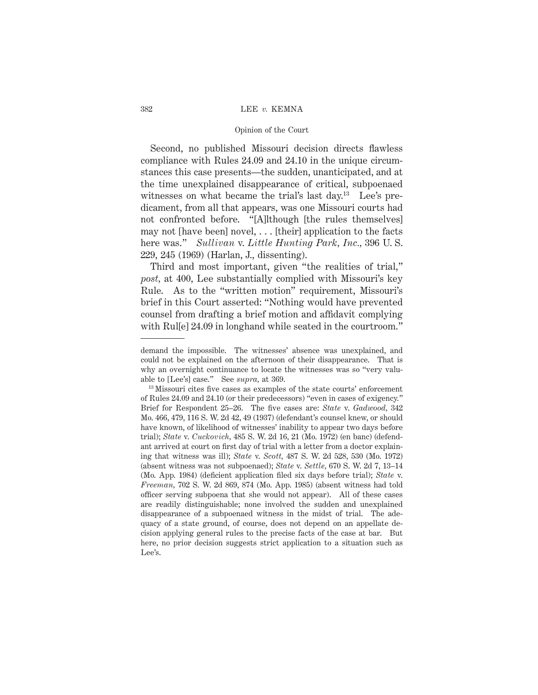### 382 LEE *v.* KEMNA

### Opinion of the Court

Second, no published Missouri decision directs flawless compliance with Rules 24.09 and 24.10 in the unique circumstances this case presents—the sudden, unanticipated, and at the time unexplained disappearance of critical, subpoenaed witnesses on what became the trial's last day.<sup>13</sup> Lee's predicament, from all that appears, was one Missouri courts had not confronted before. "[A]lthough [the rules themselves] may not [have been] novel,  $\dots$  [their] application to the facts here was." *Sullivan* v. *Little Hunting Park, Inc.,* 396 U. S. 229, 245 (1969) (Harlan, J., dissenting).

Third and most important, given "the realities of trial," *post,* at 400, Lee substantially complied with Missouri's key Rule. As to the "written motion" requirement, Missouri's brief in this Court asserted: "Nothing would have prevented counsel from drafting a brief motion and affidavit complying with Rule 24.09 in longhand while seated in the courtroom."

demand the impossible. The witnesses' absence was unexplained, and could not be explained on the afternoon of their disappearance. That is why an overnight continuance to locate the witnesses was so "very valuable to [Lee's] case." See *supra,* at 369.

<sup>13</sup> Missouri cites five cases as examples of the state courts' enforcement of Rules 24.09 and 24.10 (or their predecessors) "even in cases of exigency." Brief for Respondent 25–26. The five cases are: *State* v. *Gadwood,* 342 Mo. 466, 479, 116 S. W. 2d 42, 49 (1937) (defendant's counsel knew, or should have known, of likelihood of witnesses' inability to appear two days before trial); *State* v. *Cuckovich,* 485 S. W. 2d 16, 21 (Mo. 1972) (en banc) (defendant arrived at court on first day of trial with a letter from a doctor explaining that witness was ill); *State* v. *Scott,* 487 S. W. 2d 528, 530 (Mo. 1972) (absent witness was not subpoenaed); *State* v. *Settle,* 670 S. W. 2d 7, 13–14 (Mo. App. 1984) (deficient application filed six days before trial); *State* v. *Freeman,* 702 S. W. 2d 869, 874 (Mo. App. 1985) (absent witness had told officer serving subpoena that she would not appear). All of these cases are readily distinguishable; none involved the sudden and unexplained disappearance of a subpoenaed witness in the midst of trial. The adequacy of a state ground, of course, does not depend on an appellate decision applying general rules to the precise facts of the case at bar. But here, no prior decision suggests strict application to a situation such as Lee's.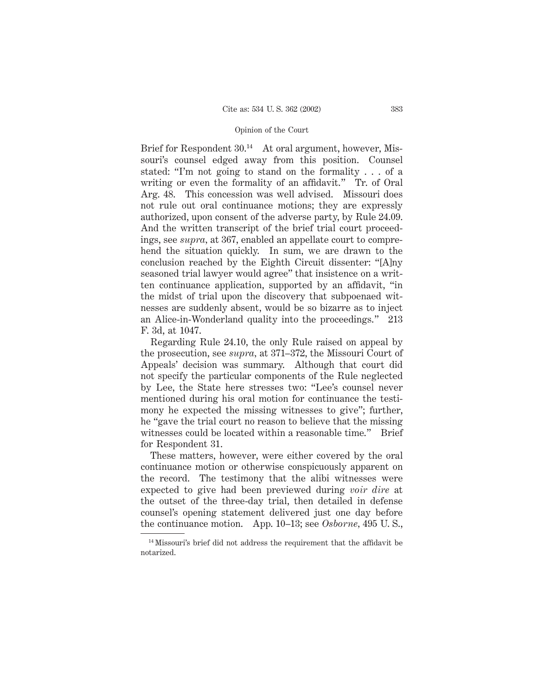Brief for Respondent 30.<sup>14</sup> At oral argument, however, Missouri's counsel edged away from this position. Counsel stated: "I'm not going to stand on the formality . . . of a writing or even the formality of an affidavit." Tr. of Oral Arg. 48. This concession was well advised. Missouri does not rule out oral continuance motions; they are expressly authorized, upon consent of the adverse party, by Rule 24.09. And the written transcript of the brief trial court proceedings, see *supra,* at 367, enabled an appellate court to comprehend the situation quickly. In sum, we are drawn to the conclusion reached by the Eighth Circuit dissenter: "[A]ny seasoned trial lawyer would agree" that insistence on a written continuance application, supported by an affidavit, "in the midst of trial upon the discovery that subpoenaed witnesses are suddenly absent, would be so bizarre as to inject an Alice-in-Wonderland quality into the proceedings." 213 F. 3d, at 1047.

Regarding Rule 24.10, the only Rule raised on appeal by the prosecution, see *supra,* at 371–372, the Missouri Court of Appeals' decision was summary. Although that court did not specify the particular components of the Rule neglected by Lee, the State here stresses two: "Lee's counsel never mentioned during his oral motion for continuance the testimony he expected the missing witnesses to give"; further, he "gave the trial court no reason to believe that the missing witnesses could be located within a reasonable time." Brief for Respondent 31.

These matters, however, were either covered by the oral continuance motion or otherwise conspicuously apparent on the record. The testimony that the alibi witnesses were expected to give had been previewed during *voir dire* at the outset of the three-day trial, then detailed in defense counsel's opening statement delivered just one day before the continuance motion. App. 10–13; see *Osborne,* 495 U. S.,

<sup>&</sup>lt;sup>14</sup> Missouri's brief did not address the requirement that the affidavit be notarized.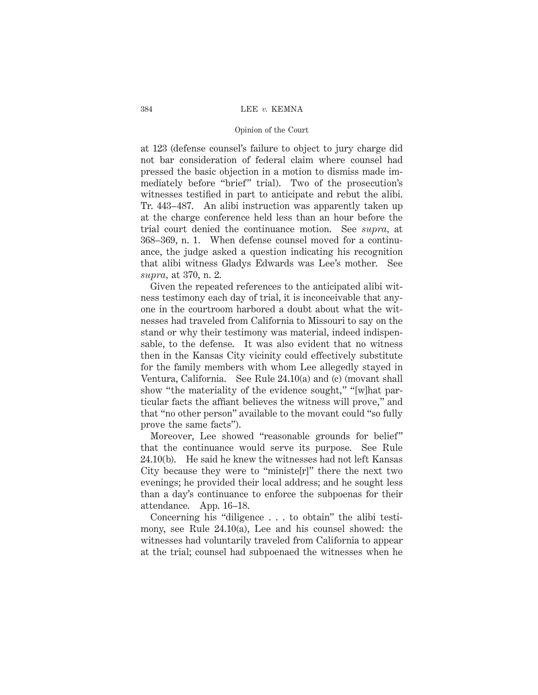### 384 LEE *v.* KEMNA

### Opinion of the Court

at 123 (defense counsel's failure to object to jury charge did not bar consideration of federal claim where counsel had pressed the basic objection in a motion to dismiss made immediately before "brief" trial). Two of the prosecution's witnesses testified in part to anticipate and rebut the alibi. Tr. 443–487. An alibi instruction was apparently taken up at the charge conference held less than an hour before the trial court denied the continuance motion. See *supra,* at 368–369, n. 1. When defense counsel moved for a continuance, the judge asked a question indicating his recognition that alibi witness Gladys Edwards was Lee's mother. See *supra,* at 370, n. 2.

Given the repeated references to the anticipated alibi witness testimony each day of trial, it is inconceivable that anyone in the courtroom harbored a doubt about what the witnesses had traveled from California to Missouri to say on the stand or why their testimony was material, indeed indispensable, to the defense. It was also evident that no witness then in the Kansas City vicinity could effectively substitute for the family members with whom Lee allegedly stayed in Ventura, California. See Rule 24.10(a) and (c) (movant shall show "the materiality of the evidence sought," "[w]hat particular facts the affiant believes the witness will prove," and that "no other person" available to the movant could "so fully prove the same facts").

Moreover, Lee showed "reasonable grounds for belief" that the continuance would serve its purpose. See Rule 24.10(b). He said he knew the witnesses had not left Kansas City because they were to "ministe[r]" there the next two evenings; he provided their local address; and he sought less than a day's continuance to enforce the subpoenas for their attendance. App. 16–18.

Concerning his "diligence . . . to obtain" the alibi testimony, see Rule 24.10(a), Lee and his counsel showed: the witnesses had voluntarily traveled from California to appear at the trial; counsel had subpoenaed the witnesses when he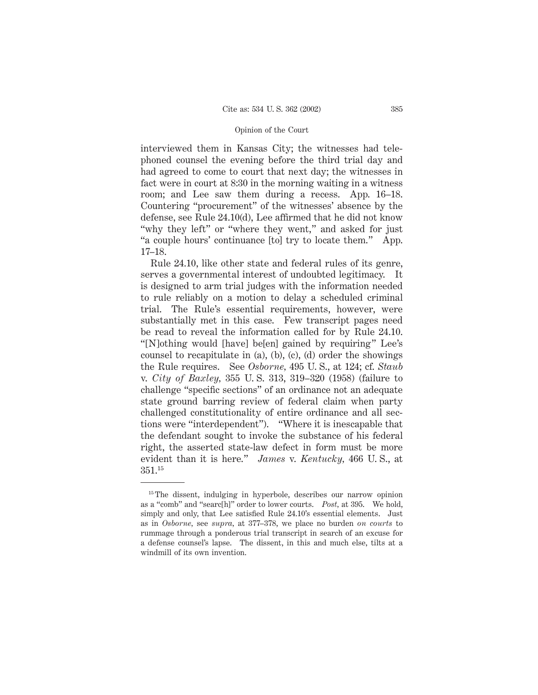interviewed them in Kansas City; the witnesses had telephoned counsel the evening before the third trial day and had agreed to come to court that next day; the witnesses in fact were in court at 8:30 in the morning waiting in a witness room; and Lee saw them during a recess. App. 16–18. Countering "procurement" of the witnesses' absence by the defense, see Rule 24.10(d), Lee affirmed that he did not know "why they left" or "where they went," and asked for just "a couple hours' continuance [to] try to locate them." App. 17–18.

Rule 24.10, like other state and federal rules of its genre, serves a governmental interest of undoubted legitimacy. It is designed to arm trial judges with the information needed to rule reliably on a motion to delay a scheduled criminal trial. The Rule's essential requirements, however, were substantially met in this case. Few transcript pages need be read to reveal the information called for by Rule 24.10. "[N]othing would [have] be[en] gained by requiring" Lee's counsel to recapitulate in (a), (b), (c), (d) order the showings the Rule requires. See *Osborne,* 495 U. S., at 124; cf. *Staub* v. *City of Baxley,* 355 U. S. 313, 319–320 (1958) (failure to challenge "specific sections" of an ordinance not an adequate state ground barring review of federal claim when party challenged constitutionality of entire ordinance and all sections were "interdependent"). "Where it is inescapable that the defendant sought to invoke the substance of his federal right, the asserted state-law defect in form must be more evident than it is here." *James* v. *Kentucky,* 466 U. S., at 351.15

<sup>&</sup>lt;sup>15</sup> The dissent, indulging in hyperbole, describes our narrow opinion as a "comb" and "searc[h]" order to lower courts. *Post,* at 395. We hold, simply and only, that Lee satisfied Rule 24.10's essential elements. Just as in *Osborne,* see *supra,* at 377–378, we place no burden *on courts* to rummage through a ponderous trial transcript in search of an excuse for a defense counsel's lapse. The dissent, in this and much else, tilts at a windmill of its own invention.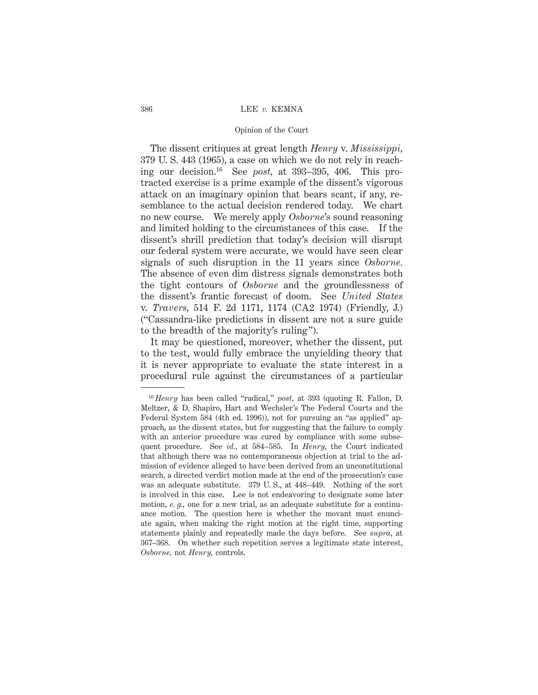### 386 LEE *v.* KEMNA

# Opinion of the Court

The dissent critiques at great length *Henry* v. *Mississippi,* 379 U. S. 443 (1965), a case on which we do not rely in reaching our decision.16 See *post,* at 393–395, 406. This protracted exercise is a prime example of the dissent's vigorous attack on an imaginary opinion that bears scant, if any, resemblance to the actual decision rendered today. We chart no new course. We merely apply *Osborne*'s sound reasoning and limited holding to the circumstances of this case. If the dissent's shrill prediction that today's decision will disrupt our federal system were accurate, we would have seen clear signals of such disruption in the 11 years since *Osborne.* The absence of even dim distress signals demonstrates both the tight contours of *Osborne* and the groundlessness of the dissent's frantic forecast of doom. See *United States* v. *Travers,* 514 F. 2d 1171, 1174 (CA2 1974) (Friendly, J.) ("Cassandra-like predictions in dissent are not a sure guide to the breadth of the majority's ruling").

It may be questioned, moreover, whether the dissent, put to the test, would fully embrace the unyielding theory that it is never appropriate to evaluate the state interest in a procedural rule against the circumstances of a particular

<sup>16</sup> *Henry* has been called "radical," *post,* at 393 (quoting R. Fallon, D. Meltzer, & D. Shapiro, Hart and Wechsler's The Federal Courts and the Federal System 584 (4th ed. 1996)), not for pursuing an "as applied" approach, as the dissent states, but for suggesting that the failure to comply with an anterior procedure was cured by compliance with some subsequent procedure. See *id.,* at 584–585. In *Henry,* the Court indicated that although there was no contemporaneous objection at trial to the admission of evidence alleged to have been derived from an unconstitutional search, a directed verdict motion made at the end of the prosecution's case was an adequate substitute. 379 U. S., at 448–449. Nothing of the sort is involved in this case. Lee is not endeavoring to designate some later motion, *e. g.,* one for a new trial, as an adequate substitute for a continuance motion. The question here is whether the movant must enunciate again, when making the right motion at the right time, supporting statements plainly and repeatedly made the days before. See *supra,* at 367–368. On whether such repetition serves a legitimate state interest, *Osborne,* not *Henry,* controls.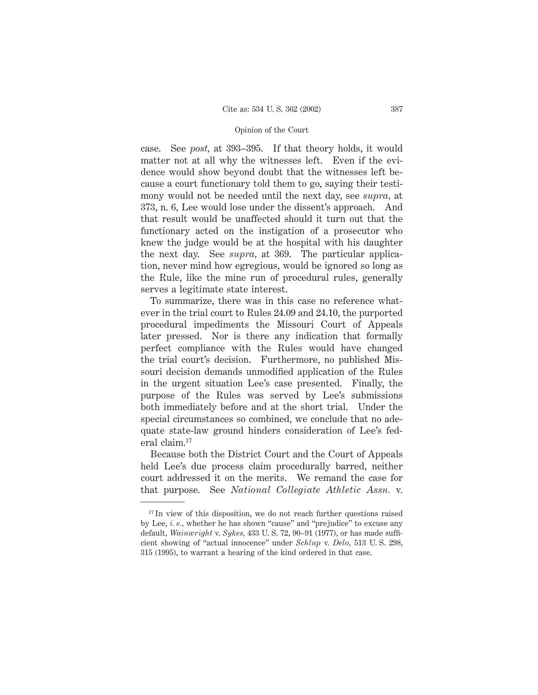case. See *post,* at 393–395. If that theory holds, it would matter not at all why the witnesses left. Even if the evidence would show beyond doubt that the witnesses left because a court functionary told them to go, saying their testimony would not be needed until the next day, see *supra,* at 373, n. 6, Lee would lose under the dissent's approach. And that result would be unaffected should it turn out that the functionary acted on the instigation of a prosecutor who knew the judge would be at the hospital with his daughter the next day. See *supra,* at 369. The particular application, never mind how egregious, would be ignored so long as the Rule, like the mine run of procedural rules, generally serves a legitimate state interest.

To summarize, there was in this case no reference whatever in the trial court to Rules 24.09 and 24.10, the purported procedural impediments the Missouri Court of Appeals later pressed. Nor is there any indication that formally perfect compliance with the Rules would have changed the trial court's decision. Furthermore, no published Missouri decision demands unmodified application of the Rules in the urgent situation Lee's case presented. Finally, the purpose of the Rules was served by Lee's submissions both immediately before and at the short trial. Under the special circumstances so combined, we conclude that no adequate state-law ground hinders consideration of Lee's federal claim.17

Because both the District Court and the Court of Appeals held Lee's due process claim procedurally barred, neither court addressed it on the merits. We remand the case for that purpose. See *National Collegiate Athletic Assn.* v.

 $17$  In view of this disposition, we do not reach further questions raised by Lee, *i. e.,* whether he has shown "cause" and "prejudice" to excuse any default, *Wainwright* v. *Sykes,* 433 U. S. 72, 90–91 (1977), or has made sufficient showing of "actual innocence" under *Schlup* v. *Delo,* 513 U. S. 298, 315 (1995), to warrant a hearing of the kind ordered in that case.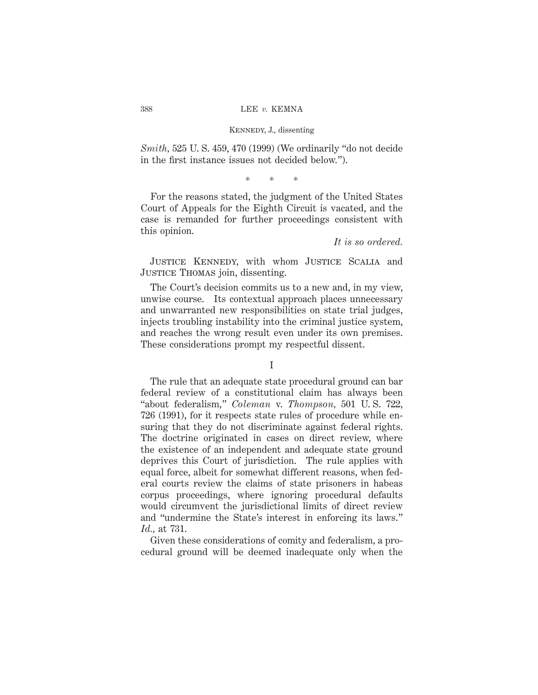*Smith,* 525 U. S. 459, 470 (1999) (We ordinarily "do not decide in the first instance issues not decided below.").

\*\*\*

For the reasons stated, the judgment of the United States Court of Appeals for the Eighth Circuit is vacated, and the case is remanded for further proceedings consistent with this opinion.

*It is so ordered.*

Justice Kennedy, with whom Justice Scalia and JUSTICE THOMAS join, dissenting.

The Court's decision commits us to a new and, in my view, unwise course. Its contextual approach places unnecessary and unwarranted new responsibilities on state trial judges, injects troubling instability into the criminal justice system, and reaches the wrong result even under its own premises. These considerations prompt my respectful dissent.

### I

The rule that an adequate state procedural ground can bar federal review of a constitutional claim has always been "about federalism," *Coleman* v. *Thompson,* 501 U. S. 722, 726 (1991), for it respects state rules of procedure while ensuring that they do not discriminate against federal rights. The doctrine originated in cases on direct review, where the existence of an independent and adequate state ground deprives this Court of jurisdiction. The rule applies with equal force, albeit for somewhat different reasons, when federal courts review the claims of state prisoners in habeas corpus proceedings, where ignoring procedural defaults would circumvent the jurisdictional limits of direct review and "undermine the State's interest in enforcing its laws." *Id.,* at 731.

Given these considerations of comity and federalism, a procedural ground will be deemed inadequate only when the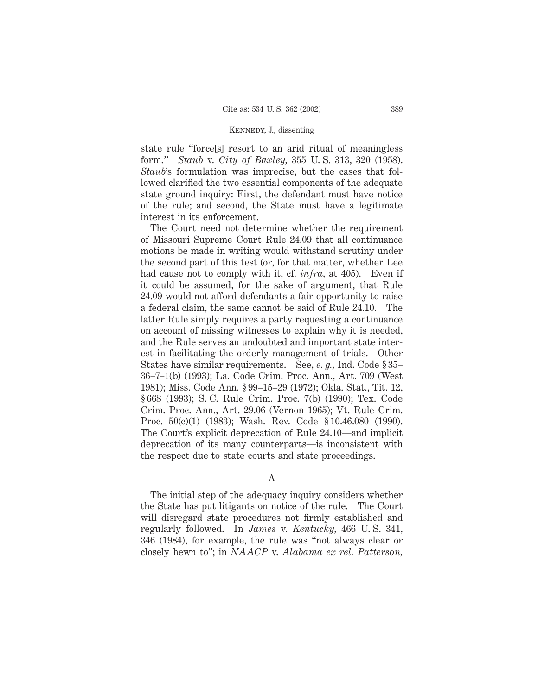state rule "force[s] resort to an arid ritual of meaningless form." *Staub* v. *City of Baxley,* 355 U. S. 313, 320 (1958). *Staub*'s formulation was imprecise, but the cases that followed clarified the two essential components of the adequate state ground inquiry: First, the defendant must have notice of the rule; and second, the State must have a legitimate interest in its enforcement.

The Court need not determine whether the requirement of Missouri Supreme Court Rule 24.09 that all continuance motions be made in writing would withstand scrutiny under the second part of this test (or, for that matter, whether Lee had cause not to comply with it, cf. *infra*, at 405). Even if it could be assumed, for the sake of argument, that Rule 24.09 would not afford defendants a fair opportunity to raise a federal claim, the same cannot be said of Rule 24.10. The latter Rule simply requires a party requesting a continuance on account of missing witnesses to explain why it is needed, and the Rule serves an undoubted and important state interest in facilitating the orderly management of trials. Other States have similar requirements. See, *e. g.,* Ind. Code § 35– 36–7–1(b) (1993); La. Code Crim. Proc. Ann., Art. 709 (West 1981); Miss. Code Ann. § 99–15–29 (1972); Okla. Stat., Tit. 12, § 668 (1993); S. C. Rule Crim. Proc. 7(b) (1990); Tex. Code Crim. Proc. Ann., Art. 29.06 (Vernon 1965); Vt. Rule Crim. Proc. 50(c)(1) (1983); Wash. Rev. Code § 10.46.080 (1990). The Court's explicit deprecation of Rule 24.10—and implicit deprecation of its many counterparts—is inconsistent with the respect due to state courts and state proceedings.

A

The initial step of the adequacy inquiry considers whether the State has put litigants on notice of the rule. The Court will disregard state procedures not firmly established and regularly followed. In *James* v. *Kentucky,* 466 U. S. 341, 346 (1984), for example, the rule was "not always clear or closely hewn to"; in *NAACP* v. *Alabama ex rel. Patterson,*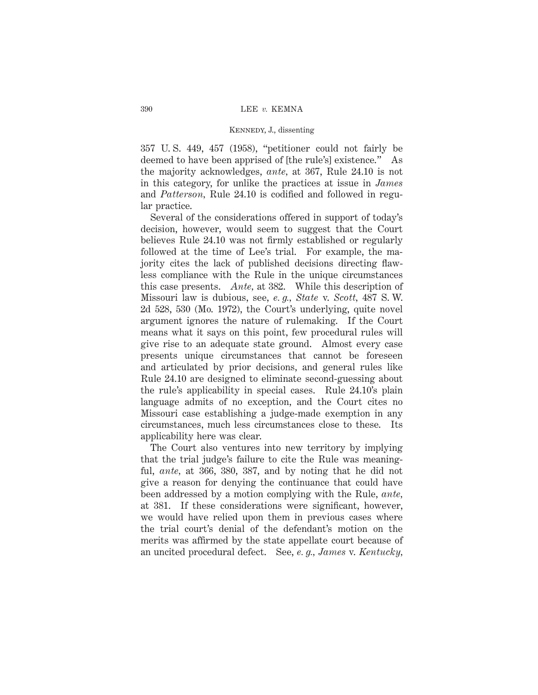357 U. S. 449, 457 (1958), "petitioner could not fairly be deemed to have been apprised of [the rule's] existence." As the majority acknowledges, *ante,* at 367, Rule 24.10 is not in this category, for unlike the practices at issue in *James* and *Patterson,* Rule 24.10 is codified and followed in regular practice.

Several of the considerations offered in support of today's decision, however, would seem to suggest that the Court believes Rule 24.10 was not firmly established or regularly followed at the time of Lee's trial. For example, the majority cites the lack of published decisions directing flawless compliance with the Rule in the unique circumstances this case presents. *Ante,* at 382. While this description of Missouri law is dubious, see, *e. g., State* v. *Scott,* 487 S. W. 2d 528, 530 (Mo. 1972), the Court's underlying, quite novel argument ignores the nature of rulemaking. If the Court means what it says on this point, few procedural rules will give rise to an adequate state ground. Almost every case presents unique circumstances that cannot be foreseen and articulated by prior decisions, and general rules like Rule 24.10 are designed to eliminate second-guessing about the rule's applicability in special cases. Rule 24.10's plain language admits of no exception, and the Court cites no Missouri case establishing a judge-made exemption in any circumstances, much less circumstances close to these. Its applicability here was clear.

The Court also ventures into new territory by implying that the trial judge's failure to cite the Rule was meaningful, *ante,* at 366, 380, 387, and by noting that he did not give a reason for denying the continuance that could have been addressed by a motion complying with the Rule, *ante,* at 381. If these considerations were significant, however, we would have relied upon them in previous cases where the trial court's denial of the defendant's motion on the merits was affirmed by the state appellate court because of an uncited procedural defect. See, *e. g., James* v. *Kentucky,*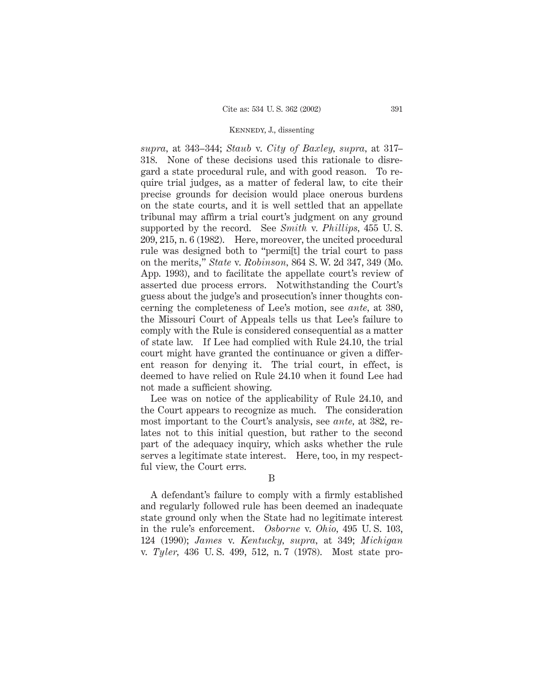*supra,* at 343–344; *Staub* v. *City of Baxley, supra,* at 317– 318. None of these decisions used this rationale to disregard a state procedural rule, and with good reason. To require trial judges, as a matter of federal law, to cite their precise grounds for decision would place onerous burdens on the state courts, and it is well settled that an appellate tribunal may affirm a trial court's judgment on any ground supported by the record. See *Smith* v. *Phillips,* 455 U. S. 209, 215, n. 6 (1982). Here, moreover, the uncited procedural rule was designed both to "permi[t] the trial court to pass on the merits," *State* v. *Robinson,* 864 S. W. 2d 347, 349 (Mo. App. 1993), and to facilitate the appellate court's review of asserted due process errors. Notwithstanding the Court's guess about the judge's and prosecution's inner thoughts concerning the completeness of Lee's motion, see *ante,* at 380, the Missouri Court of Appeals tells us that Lee's failure to comply with the Rule is considered consequential as a matter of state law. If Lee had complied with Rule 24.10, the trial court might have granted the continuance or given a different reason for denying it. The trial court, in effect, is deemed to have relied on Rule 24.10 when it found Lee had not made a sufficient showing.

Lee was on notice of the applicability of Rule 24.10, and the Court appears to recognize as much. The consideration most important to the Court's analysis, see *ante,* at 382, relates not to this initial question, but rather to the second part of the adequacy inquiry, which asks whether the rule serves a legitimate state interest. Here, too, in my respectful view, the Court errs.

B

A defendant's failure to comply with a firmly established and regularly followed rule has been deemed an inadequate state ground only when the State had no legitimate interest in the rule's enforcement. *Osborne* v. *Ohio,* 495 U. S. 103, 124 (1990); *James* v. *Kentucky, supra,* at 349; *Michigan* v. *Tyler,* 436 U. S. 499, 512, n. 7 (1978). Most state pro-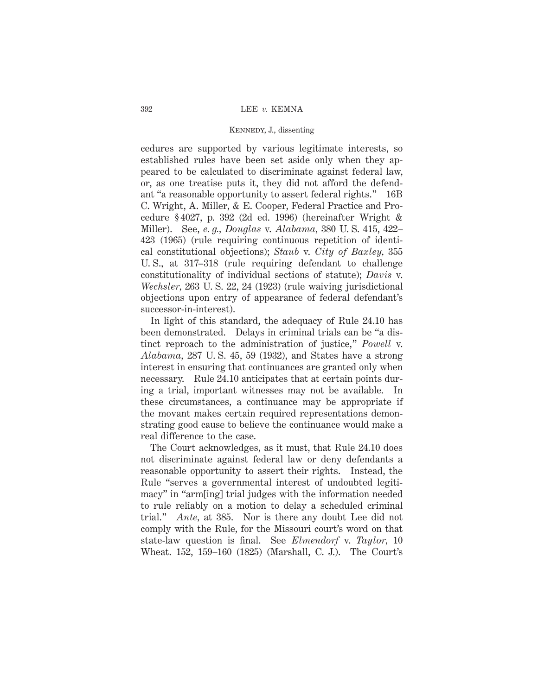cedures are supported by various legitimate interests, so established rules have been set aside only when they appeared to be calculated to discriminate against federal law, or, as one treatise puts it, they did not afford the defendant "a reasonable opportunity to assert federal rights." 16B C. Wright, A. Miller, & E. Cooper, Federal Practice and Procedure § 4027, p. 392 (2d ed. 1996) (hereinafter Wright & Miller). See, *e. g., Douglas* v. *Alabama,* 380 U. S. 415, 422– 423 (1965) (rule requiring continuous repetition of identical constitutional objections); *Staub* v. *City of Baxley,* 355 U. S., at 317–318 (rule requiring defendant to challenge constitutionality of individual sections of statute); *Davis* v. *Wechsler,* 263 U. S. 22, 24 (1923) (rule waiving jurisdictional objections upon entry of appearance of federal defendant's successor-in-interest).

In light of this standard, the adequacy of Rule 24.10 has been demonstrated. Delays in criminal trials can be "a distinct reproach to the administration of justice," *Powell* v. *Alabama,* 287 U. S. 45, 59 (1932), and States have a strong interest in ensuring that continuances are granted only when necessary. Rule 24.10 anticipates that at certain points during a trial, important witnesses may not be available. In these circumstances, a continuance may be appropriate if the movant makes certain required representations demonstrating good cause to believe the continuance would make a real difference to the case.

The Court acknowledges, as it must, that Rule 24.10 does not discriminate against federal law or deny defendants a reasonable opportunity to assert their rights. Instead, the Rule "serves a governmental interest of undoubted legitimacy" in "arm[ing] trial judges with the information needed to rule reliably on a motion to delay a scheduled criminal trial." *Ante,* at 385. Nor is there any doubt Lee did not comply with the Rule, for the Missouri court's word on that state-law question is final. See *Elmendorf* v. *Taylor,* 10 Wheat. 152, 159–160 (1825) (Marshall, C. J.). The Court's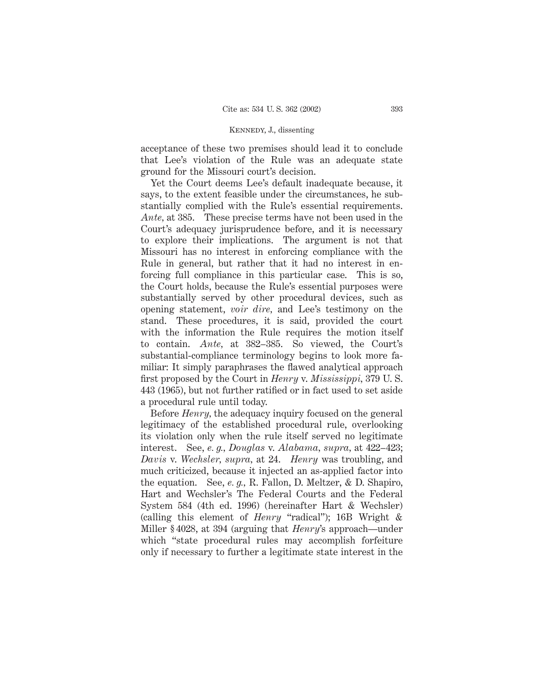acceptance of these two premises should lead it to conclude that Lee's violation of the Rule was an adequate state ground for the Missouri court's decision.

Yet the Court deems Lee's default inadequate because, it says, to the extent feasible under the circumstances, he substantially complied with the Rule's essential requirements. *Ante,* at 385. These precise terms have not been used in the Court's adequacy jurisprudence before, and it is necessary to explore their implications. The argument is not that Missouri has no interest in enforcing compliance with the Rule in general, but rather that it had no interest in enforcing full compliance in this particular case. This is so, the Court holds, because the Rule's essential purposes were substantially served by other procedural devices, such as opening statement, *voir dire,* and Lee's testimony on the stand. These procedures, it is said, provided the court with the information the Rule requires the motion itself to contain. *Ante,* at 382–385. So viewed, the Court's substantial-compliance terminology begins to look more familiar: It simply paraphrases the flawed analytical approach first proposed by the Court in *Henry* v. *Mississippi,* 379 U. S. 443 (1965), but not further ratified or in fact used to set aside a procedural rule until today.

Before *Henry,* the adequacy inquiry focused on the general legitimacy of the established procedural rule, overlooking its violation only when the rule itself served no legitimate interest. See, *e. g., Douglas* v. *Alabama, supra,* at 422–423; *Davis* v. *Wechsler, supra,* at 24. *Henry* was troubling, and much criticized, because it injected an as-applied factor into the equation. See, *e. g.,* R. Fallon, D. Meltzer, & D. Shapiro, Hart and Wechsler's The Federal Courts and the Federal System 584 (4th ed. 1996) (hereinafter Hart & Wechsler) (calling this element of *Henry* "radical"); 16B Wright & Miller § 4028, at 394 (arguing that *Henry*'s approach—under which "state procedural rules may accomplish forfeiture only if necessary to further a legitimate state interest in the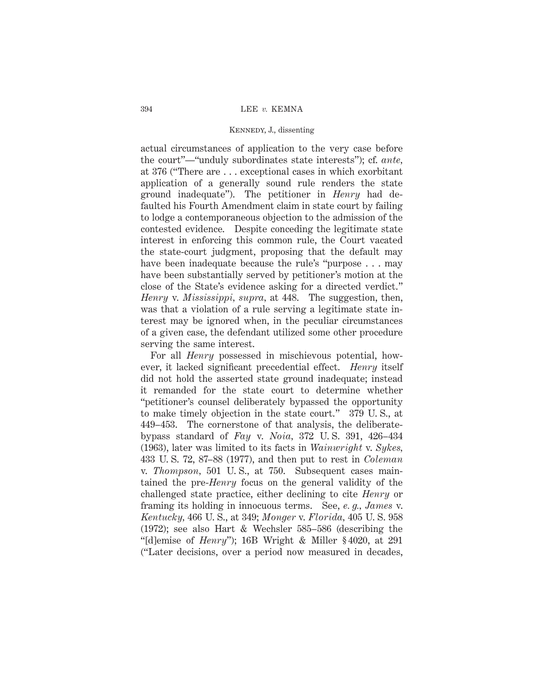actual circumstances of application to the very case before the court"—"unduly subordinates state interests"); cf. *ante,* at 376 ("There are . . . exceptional cases in which exorbitant application of a generally sound rule renders the state ground inadequate"). The petitioner in *Henry* had defaulted his Fourth Amendment claim in state court by failing to lodge a contemporaneous objection to the admission of the contested evidence. Despite conceding the legitimate state interest in enforcing this common rule, the Court vacated the state-court judgment, proposing that the default may have been inadequate because the rule's "purpose . . . may have been substantially served by petitioner's motion at the close of the State's evidence asking for a directed verdict." *Henry* v. *Mississippi, supra,* at 448. The suggestion, then, was that a violation of a rule serving a legitimate state interest may be ignored when, in the peculiar circumstances of a given case, the defendant utilized some other procedure serving the same interest.

For all *Henry* possessed in mischievous potential, however, it lacked significant precedential effect. *Henry* itself did not hold the asserted state ground inadequate; instead it remanded for the state court to determine whether "petitioner's counsel deliberately bypassed the opportunity to make timely objection in the state court." 379 U. S., at 449–453. The cornerstone of that analysis, the deliberatebypass standard of *Fay* v. *Noia,* 372 U. S. 391, 426–434 (1963), later was limited to its facts in *Wainwright* v. *Sykes,* 433 U. S. 72, 87–88 (1977), and then put to rest in *Coleman* v. *Thompson,* 501 U. S., at 750. Subsequent cases maintained the pre-*Henry* focus on the general validity of the challenged state practice, either declining to cite *Henry* or framing its holding in innocuous terms. See, *e. g., James* v. *Kentucky,* 466 U. S., at 349; *Monger* v. *Florida,* 405 U. S. 958 (1972); see also Hart & Wechsler 585–586 (describing the "[d]emise of *Henry*"); 16B Wright & Miller § 4020, at 291 ("Later decisions, over a period now measured in decades,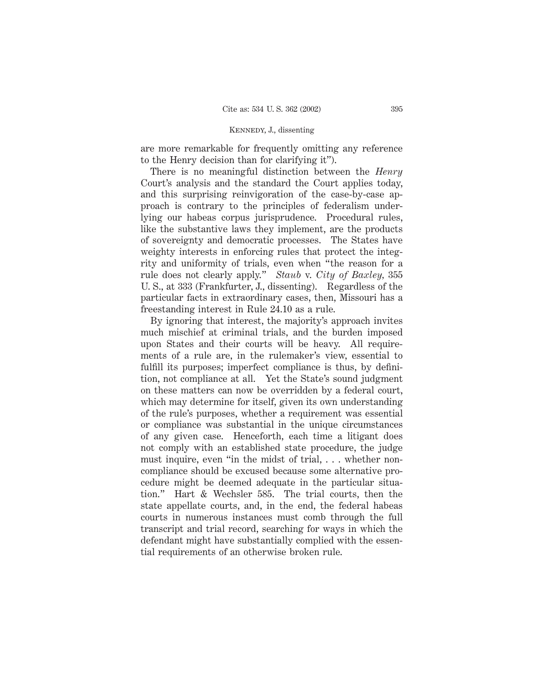are more remarkable for frequently omitting any reference to the Henry decision than for clarifying it").

There is no meaningful distinction between the *Henry* Court's analysis and the standard the Court applies today, and this surprising reinvigoration of the case-by-case approach is contrary to the principles of federalism underlying our habeas corpus jurisprudence. Procedural rules, like the substantive laws they implement, are the products of sovereignty and democratic processes. The States have weighty interests in enforcing rules that protect the integrity and uniformity of trials, even when "the reason for a rule does not clearly apply." *Staub* v. *City of Baxley,* 355 U. S., at 333 (Frankfurter, J., dissenting). Regardless of the particular facts in extraordinary cases, then, Missouri has a freestanding interest in Rule 24.10 as a rule.

By ignoring that interest, the majority's approach invites much mischief at criminal trials, and the burden imposed upon States and their courts will be heavy. All requirements of a rule are, in the rulemaker's view, essential to fulfill its purposes; imperfect compliance is thus, by definition, not compliance at all. Yet the State's sound judgment on these matters can now be overridden by a federal court, which may determine for itself, given its own understanding of the rule's purposes, whether a requirement was essential or compliance was substantial in the unique circumstances of any given case. Henceforth, each time a litigant does not comply with an established state procedure, the judge must inquire, even "in the midst of trial, ... whether noncompliance should be excused because some alternative procedure might be deemed adequate in the particular situation." Hart & Wechsler 585. The trial courts, then the state appellate courts, and, in the end, the federal habeas courts in numerous instances must comb through the full transcript and trial record, searching for ways in which the defendant might have substantially complied with the essential requirements of an otherwise broken rule.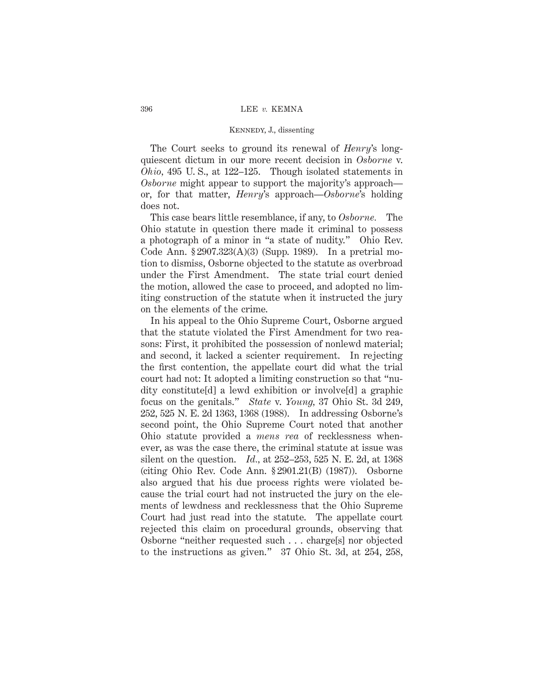The Court seeks to ground its renewal of *Henry*'s longquiescent dictum in our more recent decision in *Osborne* v. *Ohio,* 495 U. S., at 122–125. Though isolated statements in *Osborne* might appear to support the majority's approach or, for that matter, *Henry*'s approach—*Osborne*'s holding does not.

This case bears little resemblance, if any, to *Osborne.* The Ohio statute in question there made it criminal to possess a photograph of a minor in "a state of nudity." Ohio Rev. Code Ann. § 2907.323(A)(3) (Supp. 1989). In a pretrial motion to dismiss, Osborne objected to the statute as overbroad under the First Amendment. The state trial court denied the motion, allowed the case to proceed, and adopted no limiting construction of the statute when it instructed the jury on the elements of the crime.

In his appeal to the Ohio Supreme Court, Osborne argued that the statute violated the First Amendment for two reasons: First, it prohibited the possession of nonlewd material; and second, it lacked a scienter requirement. In rejecting the first contention, the appellate court did what the trial court had not: It adopted a limiting construction so that "nudity constitute[d] a lewd exhibition or involve[d] a graphic focus on the genitals." *State* v. *Young,* 37 Ohio St. 3d 249, 252, 525 N. E. 2d 1363, 1368 (1988). In addressing Osborne's second point, the Ohio Supreme Court noted that another Ohio statute provided a *mens rea* of recklessness whenever, as was the case there, the criminal statute at issue was silent on the question. *Id.,* at 252–253, 525 N. E. 2d, at 1368 (citing Ohio Rev. Code Ann. § 2901.21(B) (1987)). Osborne also argued that his due process rights were violated because the trial court had not instructed the jury on the elements of lewdness and recklessness that the Ohio Supreme Court had just read into the statute. The appellate court rejected this claim on procedural grounds, observing that Osborne "neither requested such... charge[s] nor objected to the instructions as given." 37 Ohio St. 3d, at 254, 258,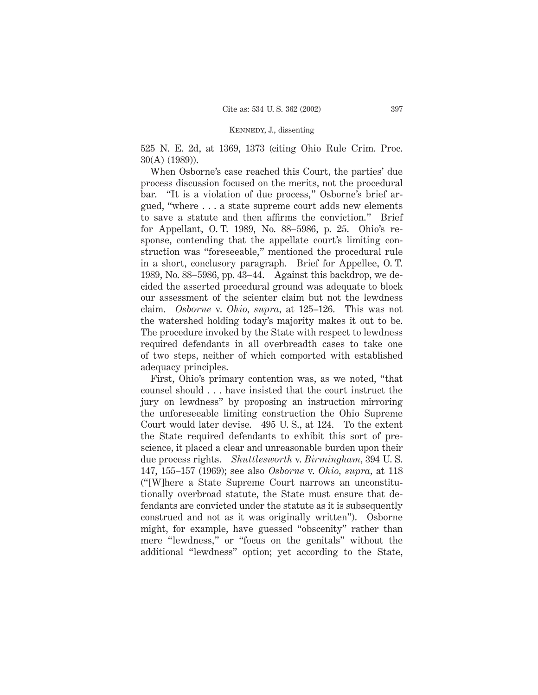525 N. E. 2d, at 1369, 1373 (citing Ohio Rule Crim. Proc. 30(A) (1989)).

When Osborne's case reached this Court, the parties' due process discussion focused on the merits, not the procedural bar. "It is a violation of due process," Osborne's brief argued, "where . . . a state supreme court adds new elements to save a statute and then affirms the conviction." Brief for Appellant, O. T. 1989, No. 88–5986, p. 25. Ohio's response, contending that the appellate court's limiting construction was "foreseeable," mentioned the procedural rule in a short, conclusory paragraph. Brief for Appellee, O. T. 1989, No. 88–5986, pp. 43–44. Against this backdrop, we decided the asserted procedural ground was adequate to block our assessment of the scienter claim but not the lewdness claim. *Osborne* v. *Ohio, supra,* at 125–126. This was not the watershed holding today's majority makes it out to be. The procedure invoked by the State with respect to lewdness required defendants in all overbreadth cases to take one of two steps, neither of which comported with established adequacy principles.

First, Ohio's primary contention was, as we noted, "that counsel should... have insisted that the court instruct the jury on lewdness" by proposing an instruction mirroring the unforeseeable limiting construction the Ohio Supreme Court would later devise. 495 U. S., at 124. To the extent the State required defendants to exhibit this sort of prescience, it placed a clear and unreasonable burden upon their due process rights. *Shuttlesworth* v. *Birmingham,* 394 U. S. 147, 155–157 (1969); see also *Osborne* v. *Ohio, supra,* at 118 ("[W]here a State Supreme Court narrows an unconstitutionally overbroad statute, the State must ensure that defendants are convicted under the statute as it is subsequently construed and not as it was originally written"). Osborne might, for example, have guessed "obscenity" rather than mere "lewdness," or "focus on the genitals" without the additional "lewdness" option; yet according to the State,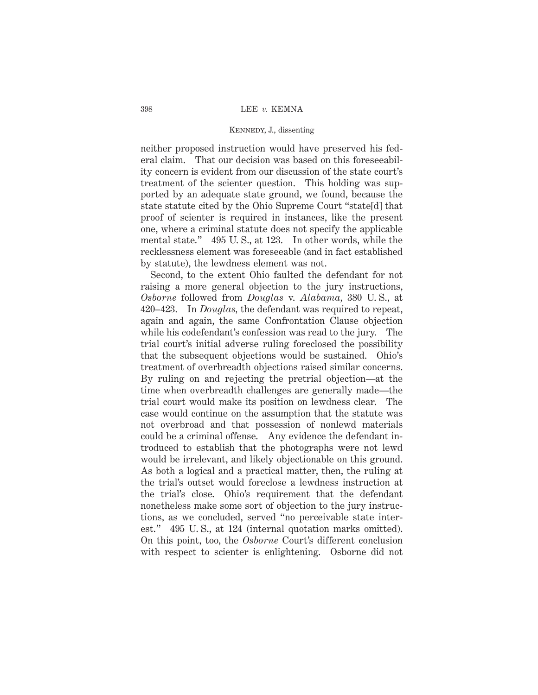neither proposed instruction would have preserved his federal claim. That our decision was based on this foreseeability concern is evident from our discussion of the state court's treatment of the scienter question. This holding was supported by an adequate state ground, we found, because the state statute cited by the Ohio Supreme Court "state[d] that proof of scienter is required in instances, like the present one, where a criminal statute does not specify the applicable mental state." 495 U. S., at 123. In other words, while the recklessness element was foreseeable (and in fact established by statute), the lewdness element was not.

Second, to the extent Ohio faulted the defendant for not raising a more general objection to the jury instructions, *Osborne* followed from *Douglas* v. *Alabama,* 380 U. S., at 420–423. In *Douglas,* the defendant was required to repeat, again and again, the same Confrontation Clause objection while his codefendant's confession was read to the jury. The trial court's initial adverse ruling foreclosed the possibility that the subsequent objections would be sustained. Ohio's treatment of overbreadth objections raised similar concerns. By ruling on and rejecting the pretrial objection—at the time when overbreadth challenges are generally made—the trial court would make its position on lewdness clear. The case would continue on the assumption that the statute was not overbroad and that possession of nonlewd materials could be a criminal offense. Any evidence the defendant introduced to establish that the photographs were not lewd would be irrelevant, and likely objectionable on this ground. As both a logical and a practical matter, then, the ruling at the trial's outset would foreclose a lewdness instruction at the trial's close. Ohio's requirement that the defendant nonetheless make some sort of objection to the jury instructions, as we concluded, served "no perceivable state interest." 495 U. S., at 124 (internal quotation marks omitted). On this point, too, the *Osborne* Court's different conclusion with respect to scienter is enlightening. Osborne did not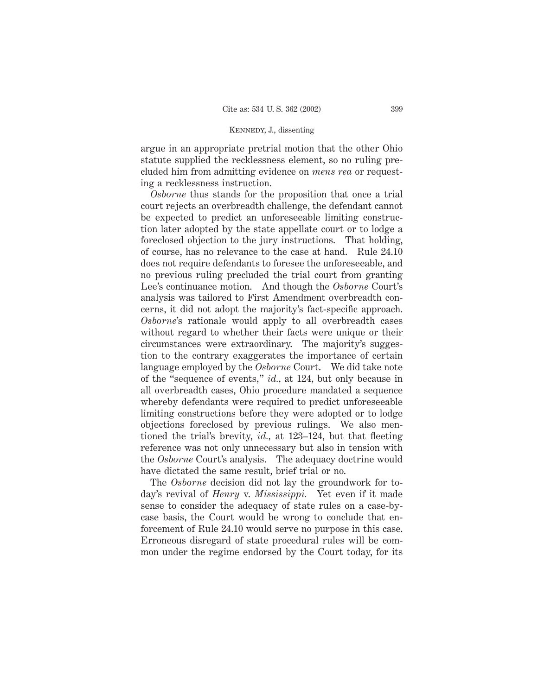argue in an appropriate pretrial motion that the other Ohio statute supplied the recklessness element, so no ruling precluded him from admitting evidence on *mens rea* or requesting a recklessness instruction.

*Osborne* thus stands for the proposition that once a trial court rejects an overbreadth challenge, the defendant cannot be expected to predict an unforeseeable limiting construction later adopted by the state appellate court or to lodge a foreclosed objection to the jury instructions. That holding, of course, has no relevance to the case at hand. Rule 24.10 does not require defendants to foresee the unforeseeable, and no previous ruling precluded the trial court from granting Lee's continuance motion. And though the *Osborne* Court's analysis was tailored to First Amendment overbreadth concerns, it did not adopt the majority's fact-specific approach. *Osborne*'s rationale would apply to all overbreadth cases without regard to whether their facts were unique or their circumstances were extraordinary. The majority's suggestion to the contrary exaggerates the importance of certain language employed by the *Osborne* Court. We did take note of the "sequence of events," *id.,* at 124, but only because in all overbreadth cases, Ohio procedure mandated a sequence whereby defendants were required to predict unforeseeable limiting constructions before they were adopted or to lodge objections foreclosed by previous rulings. We also mentioned the trial's brevity, *id.,* at 123–124, but that fleeting reference was not only unnecessary but also in tension with the *Osborne* Court's analysis. The adequacy doctrine would have dictated the same result, brief trial or no.

The *Osborne* decision did not lay the groundwork for today's revival of *Henry* v. *Mississippi.* Yet even if it made sense to consider the adequacy of state rules on a case-bycase basis, the Court would be wrong to conclude that enforcement of Rule 24.10 would serve no purpose in this case. Erroneous disregard of state procedural rules will be common under the regime endorsed by the Court today, for its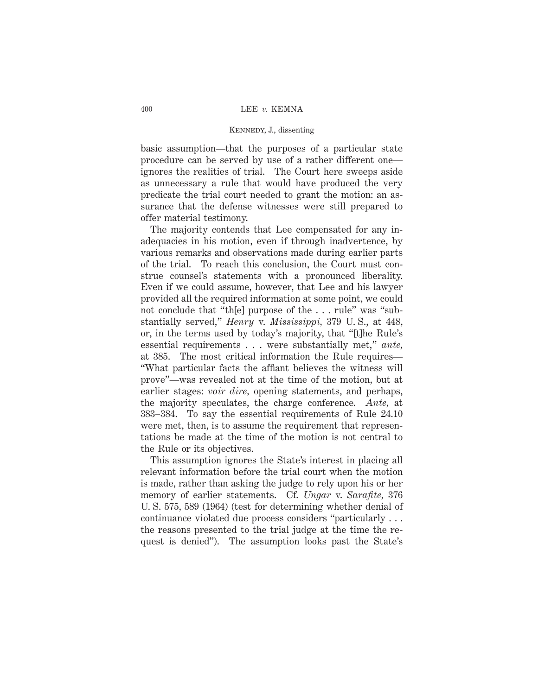basic assumption—that the purposes of a particular state procedure can be served by use of a rather different one ignores the realities of trial. The Court here sweeps aside as unnecessary a rule that would have produced the very predicate the trial court needed to grant the motion: an assurance that the defense witnesses were still prepared to offer material testimony.

The majority contends that Lee compensated for any inadequacies in his motion, even if through inadvertence, by various remarks and observations made during earlier parts of the trial. To reach this conclusion, the Court must construe counsel's statements with a pronounced liberality. Even if we could assume, however, that Lee and his lawyer provided all the required information at some point, we could not conclude that "th[e] purpose of the . . . rule" was "substantially served," *Henry* v. *Mississippi,* 379 U. S., at 448, or, in the terms used by today's majority, that "[t]he Rule's essential requirements . . . were substantially met," *ante,* at 385. The most critical information the Rule requires— "What particular facts the affiant believes the witness will prove"—was revealed not at the time of the motion, but at earlier stages: *voir dire,* opening statements, and perhaps, the majority speculates, the charge conference. *Ante,* at 383–384. To say the essential requirements of Rule 24.10 were met, then, is to assume the requirement that representations be made at the time of the motion is not central to the Rule or its objectives.

This assumption ignores the State's interest in placing all relevant information before the trial court when the motion is made, rather than asking the judge to rely upon his or her memory of earlier statements. Cf. *Ungar* v. *Sarafite,* 376 U. S. 575, 589 (1964) (test for determining whether denial of continuance violated due process considers "particularly... the reasons presented to the trial judge at the time the request is denied"). The assumption looks past the State's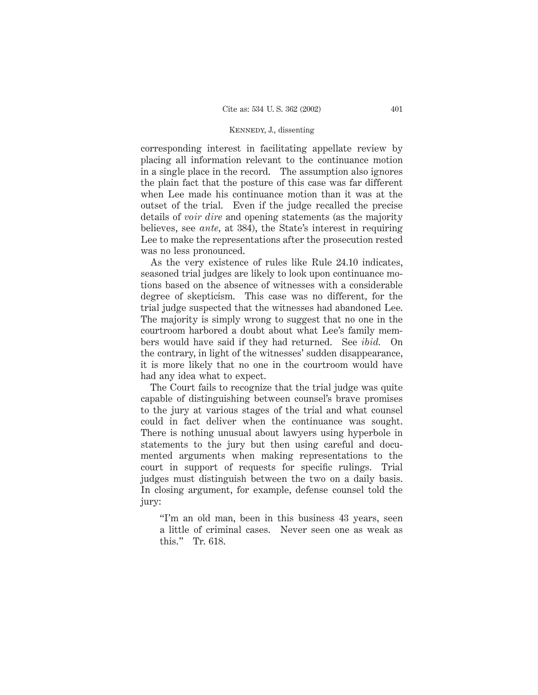corresponding interest in facilitating appellate review by placing all information relevant to the continuance motion in a single place in the record. The assumption also ignores the plain fact that the posture of this case was far different when Lee made his continuance motion than it was at the outset of the trial. Even if the judge recalled the precise details of *voir dire* and opening statements (as the majority believes, see *ante,* at 384), the State's interest in requiring Lee to make the representations after the prosecution rested was no less pronounced.

As the very existence of rules like Rule 24.10 indicates, seasoned trial judges are likely to look upon continuance motions based on the absence of witnesses with a considerable degree of skepticism. This case was no different, for the trial judge suspected that the witnesses had abandoned Lee. The majority is simply wrong to suggest that no one in the courtroom harbored a doubt about what Lee's family members would have said if they had returned. See *ibid.* On the contrary, in light of the witnesses' sudden disappearance, it is more likely that no one in the courtroom would have had any idea what to expect.

The Court fails to recognize that the trial judge was quite capable of distinguishing between counsel's brave promises to the jury at various stages of the trial and what counsel could in fact deliver when the continuance was sought. There is nothing unusual about lawyers using hyperbole in statements to the jury but then using careful and documented arguments when making representations to the court in support of requests for specific rulings. Trial judges must distinguish between the two on a daily basis. In closing argument, for example, defense counsel told the jury:

"I'm an old man, been in this business 43 years, seen a little of criminal cases. Never seen one as weak as this." Tr. 618.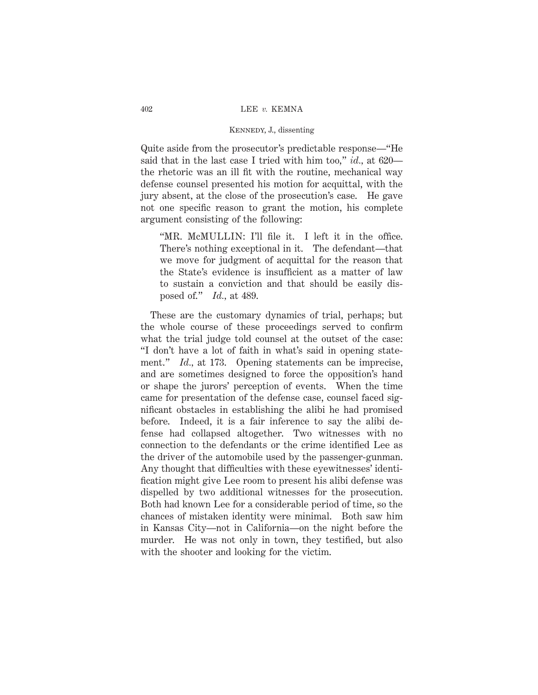Quite aside from the prosecutor's predictable response—"He said that in the last case I tried with him too," *id.,* at 620 the rhetoric was an ill fit with the routine, mechanical way defense counsel presented his motion for acquittal, with the jury absent, at the close of the prosecution's case. He gave not one specific reason to grant the motion, his complete argument consisting of the following:

"MR. McMULLIN: I'll file it. I left it in the office. There's nothing exceptional in it. The defendant—that we move for judgment of acquittal for the reason that the State's evidence is insufficient as a matter of law to sustain a conviction and that should be easily disposed of." *Id.,* at 489.

These are the customary dynamics of trial, perhaps; but the whole course of these proceedings served to confirm what the trial judge told counsel at the outset of the case: "I don't have a lot of faith in what's said in opening statement." *Id.*, at 173. Opening statements can be imprecise, and are sometimes designed to force the opposition's hand or shape the jurors' perception of events. When the time came for presentation of the defense case, counsel faced significant obstacles in establishing the alibi he had promised before. Indeed, it is a fair inference to say the alibi defense had collapsed altogether. Two witnesses with no connection to the defendants or the crime identified Lee as the driver of the automobile used by the passenger-gunman. Any thought that difficulties with these eyewitnesses' identification might give Lee room to present his alibi defense was dispelled by two additional witnesses for the prosecution. Both had known Lee for a considerable period of time, so the chances of mistaken identity were minimal. Both saw him in Kansas City—not in California—on the night before the murder. He was not only in town, they testified, but also with the shooter and looking for the victim.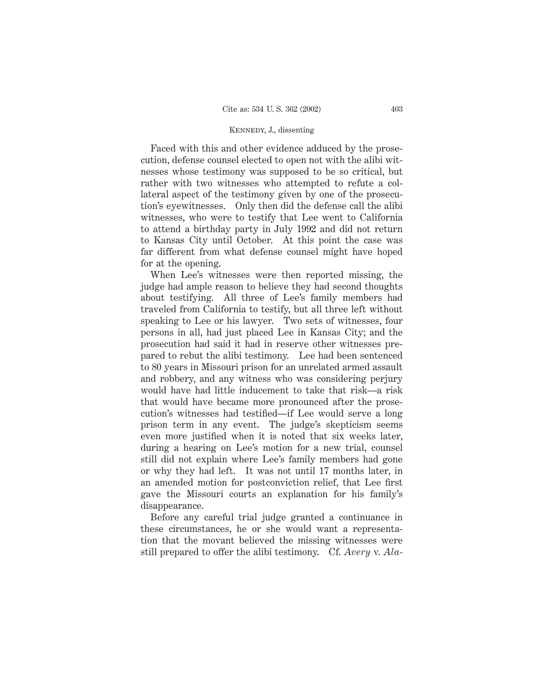Faced with this and other evidence adduced by the prosecution, defense counsel elected to open not with the alibi witnesses whose testimony was supposed to be so critical, but rather with two witnesses who attempted to refute a collateral aspect of the testimony given by one of the prosecution's eyewitnesses. Only then did the defense call the alibi witnesses, who were to testify that Lee went to California to attend a birthday party in July 1992 and did not return to Kansas City until October. At this point the case was far different from what defense counsel might have hoped for at the opening.

When Lee's witnesses were then reported missing, the judge had ample reason to believe they had second thoughts about testifying. All three of Lee's family members had traveled from California to testify, but all three left without speaking to Lee or his lawyer. Two sets of witnesses, four persons in all, had just placed Lee in Kansas City; and the prosecution had said it had in reserve other witnesses prepared to rebut the alibi testimony. Lee had been sentenced to 80 years in Missouri prison for an unrelated armed assault and robbery, and any witness who was considering perjury would have had little inducement to take that risk—a risk that would have became more pronounced after the prosecution's witnesses had testified—if Lee would serve a long prison term in any event. The judge's skepticism seems even more justified when it is noted that six weeks later, during a hearing on Lee's motion for a new trial, counsel still did not explain where Lee's family members had gone or why they had left. It was not until 17 months later, in an amended motion for postconviction relief, that Lee first gave the Missouri courts an explanation for his family's disappearance.

Before any careful trial judge granted a continuance in these circumstances, he or she would want a representation that the movant believed the missing witnesses were still prepared to offer the alibi testimony. Cf. *Avery* v. *Ala-*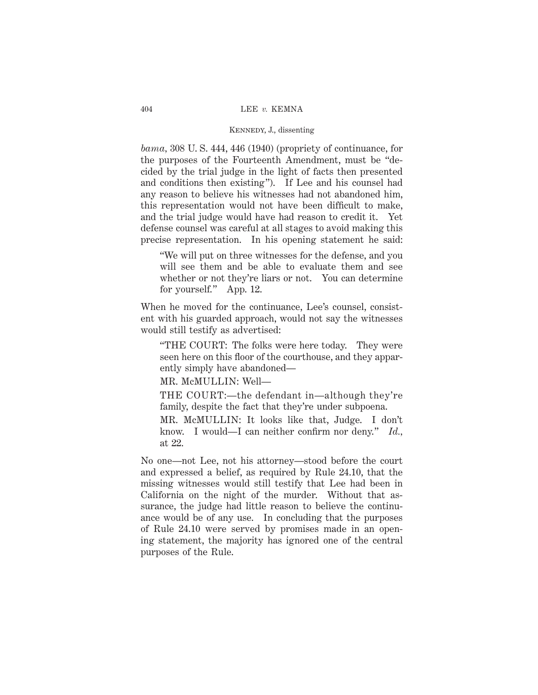*bama,* 308 U. S. 444, 446 (1940) (propriety of continuance, for the purposes of the Fourteenth Amendment, must be "decided by the trial judge in the light of facts then presented and conditions then existing"). If Lee and his counsel had any reason to believe his witnesses had not abandoned him, this representation would not have been difficult to make, and the trial judge would have had reason to credit it. Yet defense counsel was careful at all stages to avoid making this precise representation. In his opening statement he said:

"We will put on three witnesses for the defense, and you will see them and be able to evaluate them and see whether or not they're liars or not. You can determine for yourself." App. 12.

When he moved for the continuance, Lee's counsel, consistent with his guarded approach, would not say the witnesses would still testify as advertised:

"THE COURT: The folks were here today. They were seen here on this floor of the courthouse, and they apparently simply have abandoned—

MR. McMULLIN: Well—

THE COURT:—the defendant in—although they're family, despite the fact that they're under subpoena.

MR. McMULLIN: It looks like that, Judge. I don't know. I would—I can neither confirm nor deny." *Id.,* at 22.

No one—not Lee, not his attorney—stood before the court and expressed a belief, as required by Rule 24.10, that the missing witnesses would still testify that Lee had been in California on the night of the murder. Without that assurance, the judge had little reason to believe the continuance would be of any use. In concluding that the purposes of Rule 24.10 were served by promises made in an opening statement, the majority has ignored one of the central purposes of the Rule.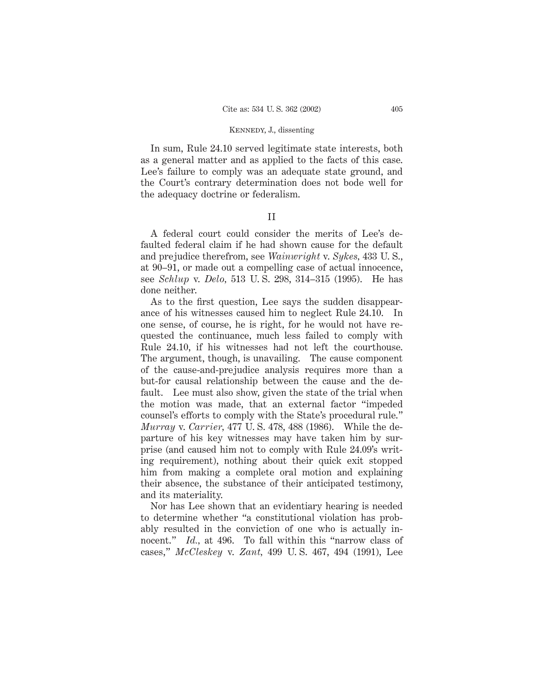In sum, Rule 24.10 served legitimate state interests, both as a general matter and as applied to the facts of this case. Lee's failure to comply was an adequate state ground, and the Court's contrary determination does not bode well for the adequacy doctrine or federalism.

II

A federal court could consider the merits of Lee's defaulted federal claim if he had shown cause for the default and prejudice therefrom, see *Wainwright* v. *Sykes,* 433 U. S., at 90–91, or made out a compelling case of actual innocence, see *Schlup* v. *Delo,* 513 U. S. 298, 314–315 (1995). He has done neither.

As to the first question, Lee says the sudden disappearance of his witnesses caused him to neglect Rule 24.10. In one sense, of course, he is right, for he would not have requested the continuance, much less failed to comply with Rule 24.10, if his witnesses had not left the courthouse. The argument, though, is unavailing. The cause component of the cause-and-prejudice analysis requires more than a but-for causal relationship between the cause and the default. Lee must also show, given the state of the trial when the motion was made, that an external factor "impeded counsel's efforts to comply with the State's procedural rule." *Murray* v. *Carrier,* 477 U. S. 478, 488 (1986). While the departure of his key witnesses may have taken him by surprise (and caused him not to comply with Rule 24.09's writing requirement), nothing about their quick exit stopped him from making a complete oral motion and explaining their absence, the substance of their anticipated testimony, and its materiality.

Nor has Lee shown that an evidentiary hearing is needed to determine whether "a constitutional violation has probably resulted in the conviction of one who is actually innocent." *Id.*, at 496. To fall within this "narrow class of cases," *McCleskey* v. *Zant,* 499 U. S. 467, 494 (1991), Lee